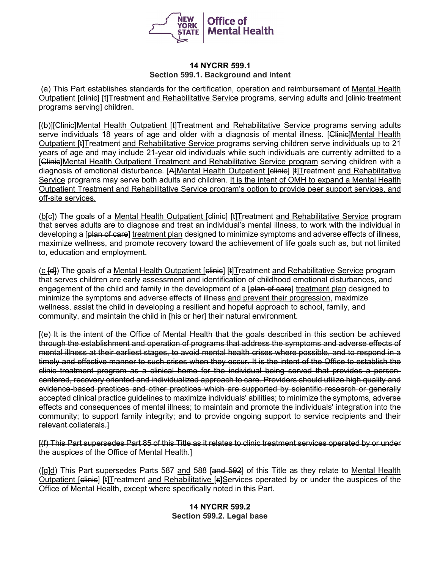

### **14 NYCRR 599.1 Section 599.1. Background and intent**

(a) This Part establishes standards for the certification, operation and reimbursement of Mental Health Outpatient [clinic] [t]Treatment and Rehabilitative Service programs, serving adults and [clinic treatment] programs serving] children.

[(b)][Glinie]Mental Health Outpatient [t]Treatment and Rehabilitative Service programs serving adults serve individuals 18 years of age and older with a diagnosis of mental illness. [Clinic]Mental Health Outpatient [t]Treatment and Rehabilitative Service programs serving children serve individuals up to 21 years of age and may include 21-year old individuals while such individuals are currently admitted to a [Clinic]Mental Health Outpatient Treatment and Rehabilitative Service program serving children with a diagnosis of emotional disturbance. [A]Mental Health Outpatient [elinie] [t]Treatment and Rehabilitative Service programs may serve both adults and children. It is the intent of OMH to expand a Mental Health Outpatient Treatment and Rehabilitative Service program's option to provide peer support services, and off-site services.

(b[e]) The goals of a Mental Health Outpatient [clinic] [t]Treatment and Rehabilitative Service program that serves adults are to diagnose and treat an individual's mental illness, to work with the individual in developing a [plan of care] treatment plan designed to minimize symptoms and adverse effects of illness, maximize wellness, and promote recovery toward the achievement of life goals such as, but not limited to, education and employment.

(c [e]) The goals of a Mental Health Outpatient [elinie] [t]Treatment and Rehabilitative Service program that serves children are early assessment and identification of childhood emotional disturbances, and engagement of the child and family in the development of a [plan of care] treatment plan designed to minimize the symptoms and adverse effects of illness and prevent their progression, maximize wellness, assist the child in developing a resilient and hopeful approach to school, family, and community, and maintain the child in [his or her] their natural environment.

[(e) It is the intent of the Office of Mental Health that the goals described in this section be achieved through the establishment and operation of programs that address the symptoms and adverse effects of mental illness at their earliest stages, to avoid mental health crises where possible, and to respond in a timely and effective manner to such crises when they occur. It is the intent of the Office to establish the clinic treatment program as a clinical home for the individual being served that provides a personcentered, recovery oriented and individualized approach to care. Providers should utilize high quality and evidence-based practices and other practices which are supported by scientific research or generally accepted clinical practice guidelines to maximize individuals' abilities; to minimize the symptoms, adverse effects and consequences of mental illness; to maintain and promote the individuals' integration into the community; to support family integrity; and to provide ongoing support to service recipients and their relevant collaterals.]

[(f) This Part supersedes Part 85 of this Title as it relates to clinic treatment services operated by or under the auspices of the Office of Mental Health.]

([g]d) This Part supersedes Parts 587 and 588 [and 592] of this Title as they relate to Mental Health Outpatient [clinic] [t]Treatment and Rehabilitative [s]Services operated by or under the auspices of the Office of Mental Health, except where specifically noted in this Part.

## **14 NYCRR 599.2 Section 599.2. Legal base**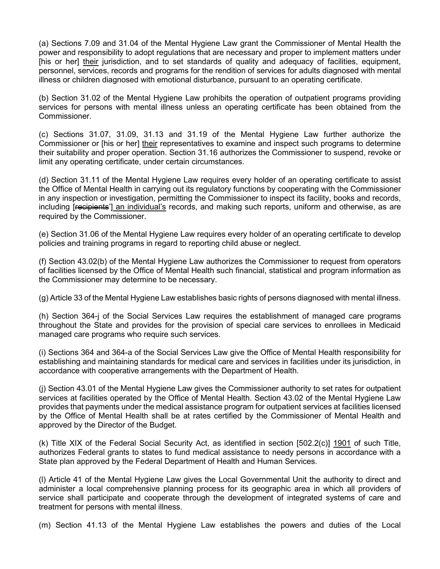(a) [Sections 7.09](http://www.westlaw.com/Link/Document/FullText?findType=L&pubNum=1000105&cite=NYMHS7.09&originatingDoc=I3D8437B06D9711E19D9DB00925279233&refType=LQ&originationContext=document&vr=3.0&rs=cblt1.0&transitionType=DocumentItem&contextData=(sc.Default)) and [31.04 of the Mental Hygiene Law](http://www.westlaw.com/Link/Document/FullText?findType=L&pubNum=1000105&cite=NYMHS31.04&originatingDoc=I3D8437B06D9711E19D9DB00925279233&refType=LQ&originationContext=document&vr=3.0&rs=cblt1.0&transitionType=DocumentItem&contextData=(sc.Default)) grant the Commissioner of Mental Health the power and responsibility to adopt regulations that are necessary and proper to implement matters under [his or her] their jurisdiction, and to set standards of quality and adequacy of facilities, equipment, personnel, services, records and programs for the rendition of services for adults diagnosed with mental illness or children diagnosed with emotional disturbance, pursuant to an operating certificate.

(b) [Section 31.02 of the Mental Hygiene Law](http://www.westlaw.com/Link/Document/FullText?findType=L&pubNum=1000105&cite=NYMHS31.02&originatingDoc=I3D8437B06D9711E19D9DB00925279233&refType=LQ&originationContext=document&vr=3.0&rs=cblt1.0&transitionType=DocumentItem&contextData=(sc.Default)) prohibits the operation of outpatient programs providing services for persons with mental illness unless an operating certificate has been obtained from the Commissioner.

(c) [Sections 31.07,](http://www.westlaw.com/Link/Document/FullText?findType=L&pubNum=1000105&cite=NYMHS31.07&originatingDoc=I3D8437B06D9711E19D9DB00925279233&refType=LQ&originationContext=document&vr=3.0&rs=cblt1.0&transitionType=DocumentItem&contextData=(sc.Default)) [31.09,](http://www.westlaw.com/Link/Document/FullText?findType=L&pubNum=1000105&cite=NYMHS31.09&originatingDoc=I3D8437B06D9711E19D9DB00925279233&refType=LQ&originationContext=document&vr=3.0&rs=cblt1.0&transitionType=DocumentItem&contextData=(sc.Default)) [31.13](http://www.westlaw.com/Link/Document/FullText?findType=L&pubNum=1000105&cite=NYMHS31.13&originatingDoc=I3D8437B06D9711E19D9DB00925279233&refType=LQ&originationContext=document&vr=3.0&rs=cblt1.0&transitionType=DocumentItem&contextData=(sc.Default)) and [31.19 of the Mental Hygiene Law](http://www.westlaw.com/Link/Document/FullText?findType=L&pubNum=1000105&cite=NYMHS31.19&originatingDoc=I3D8437B06D9711E19D9DB00925279233&refType=LQ&originationContext=document&vr=3.0&rs=cblt1.0&transitionType=DocumentItem&contextData=(sc.Default)) further authorize the Commissioner or [his or her] their representatives to examine and inspect such programs to determine their suitability and proper operation. Section 31.16 authorizes the Commissioner to suspend, revoke or limit any operating certificate, under certain circumstances.

(d) [Section 31.11 of the Mental Hygiene Law](http://www.westlaw.com/Link/Document/FullText?findType=L&pubNum=1000105&cite=NYMHS31.11&originatingDoc=I3D8437B06D9711E19D9DB00925279233&refType=LQ&originationContext=document&vr=3.0&rs=cblt1.0&transitionType=DocumentItem&contextData=(sc.Default)) requires every holder of an operating certificate to assist the Office of Mental Health in carrying out its regulatory functions by cooperating with the Commissioner in any inspection or investigation, permitting the Commissioner to inspect its facility, books and records, including [recipients'] an individual's records, and making such reports, uniform and otherwise, as are required by the Commissioner.

(e) [Section 31.06 of the Mental Hygiene Law](http://www.westlaw.com/Link/Document/FullText?findType=L&pubNum=1000105&cite=NYMHS31.06&originatingDoc=I3D8437B06D9711E19D9DB00925279233&refType=LQ&originationContext=document&vr=3.0&rs=cblt1.0&transitionType=DocumentItem&contextData=(sc.Default)) requires every holder of an operating certificate to develop policies and training programs in regard to reporting child abuse or neglect.

(f) [Section 43.02\(b\) of the Mental Hygiene Law](http://www.westlaw.com/Link/Document/FullText?findType=L&pubNum=1000105&cite=NYMHS43.02&originatingDoc=I3D8437B06D9711E19D9DB00925279233&refType=SP&originationContext=document&vr=3.0&rs=cblt1.0&transitionType=DocumentItem&contextData=(sc.Default)#co_pp_a83b000018c76) authorizes the Commissioner to request from operators of facilities licensed by the Office of Mental Health such financial, statistical and program information as the Commissioner may determine to be necessary.

(g) Article 33 of the Mental Hygiene Law establishes basic rights of persons diagnosed with mental illness.

(h) [Section 364-j of the Social Services Law](http://www.westlaw.com/Link/Document/FullText?findType=L&pubNum=1000136&cite=NYSVS364-J&originatingDoc=I3D8437B06D9711E19D9DB00925279233&refType=LQ&originationContext=document&vr=3.0&rs=cblt1.0&transitionType=DocumentItem&contextData=(sc.Default)) requires the establishment of managed care programs throughout the State and provides for the provision of special care services to enrollees in Medicaid managed care programs who require such services.

(i) [Sections 364](http://www.westlaw.com/Link/Document/FullText?findType=L&pubNum=1000136&cite=NYSVS364&originatingDoc=I3D8437B06D9711E19D9DB00925279233&refType=LQ&originationContext=document&vr=3.0&rs=cblt1.0&transitionType=DocumentItem&contextData=(sc.Default)) and [364-a of the Social Services Law](http://www.westlaw.com/Link/Document/FullText?findType=L&pubNum=1000136&cite=NYSVS364-A&originatingDoc=I3D8437B06D9711E19D9DB00925279233&refType=LQ&originationContext=document&vr=3.0&rs=cblt1.0&transitionType=DocumentItem&contextData=(sc.Default)) give the Office of Mental Health responsibility for establishing and maintaining standards for medical care and services in facilities under its jurisdiction, in accordance with cooperative arrangements with the Department of Health.

(j) [Section 43.01 of the Mental Hygiene Law](http://www.westlaw.com/Link/Document/FullText?findType=L&pubNum=1000105&cite=NYMHS43.01&originatingDoc=I3D8437B06D9711E19D9DB00925279233&refType=LQ&originationContext=document&vr=3.0&rs=cblt1.0&transitionType=DocumentItem&contextData=(sc.Default)) gives the Commissioner authority to set rates for outpatient services at facilities operated by the Office of Mental Health. [Section 43.02 of the Mental Hygiene Law](http://www.westlaw.com/Link/Document/FullText?findType=L&pubNum=1000105&cite=NYMHS43.02&originatingDoc=I3D8437B06D9711E19D9DB00925279233&refType=LQ&originationContext=document&vr=3.0&rs=cblt1.0&transitionType=DocumentItem&contextData=(sc.Default)) provides that payments under the medical assistance program for outpatient services at facilities licensed by the Office of Mental Health shall be at rates certified by the Commissioner of Mental Health and approved by the Director of the Budget.

(k) Title XIX of the Federal Social Security Act, as identified in section [502.2(c)] 1901 of such Title, authorizes Federal grants to states to fund medical assistance to needy persons in accordance with a State plan approved by the Federal Department of Health and Human Services.

(l) Article 41 of the Mental Hygiene Law gives the Local Governmental Unit the authority to direct and administer a local comprehensive planning process for its geographic area in which all providers of service shall participate and cooperate through the development of integrated systems of care and treatment for persons with mental illness.

(m) [Section 41.13 of the Mental Hygiene Law](http://www.westlaw.com/Link/Document/FullText?findType=L&pubNum=1000105&cite=NYMHS41.13&originatingDoc=I3D8437B06D9711E19D9DB00925279233&refType=LQ&originationContext=document&vr=3.0&rs=cblt1.0&transitionType=DocumentItem&contextData=(sc.Default)) establishes the powers and duties of the Local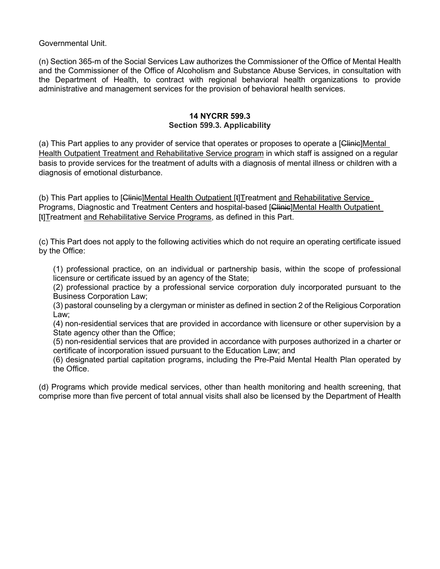Governmental Unit.

(n) [Section 365-m of the Social Services Law](http://www.westlaw.com/Link/Document/FullText?findType=L&pubNum=1000136&cite=NYSVS365-M&originatingDoc=I3D8437B06D9711E19D9DB00925279233&refType=LQ&originationContext=document&vr=3.0&rs=cblt1.0&transitionType=DocumentItem&contextData=(sc.Default)) authorizes the Commissioner of the Office of Mental Health and the Commissioner of the Office of Alcoholism and Substance Abuse Services, in consultation with the Department of Health, to contract with regional behavioral health organizations to provide administrative and management services for the provision of behavioral health services.

### **14 NYCRR 599.3 Section 599.3. Applicability**

(a) This Part applies to any provider of service that operates or proposes to operate a [<del>Clinic</del>]Mental Health Outpatient Treatment and Rehabilitative Service program in which staff is assigned on a regular basis to provide services for the treatment of adults with a diagnosis of mental illness or children with a diagnosis of emotional disturbance.

(b) This Part applies to [Clinic]Mental Health Outpatient [t] Treatment and Rehabilitative Service Programs, Diagnostic and Treatment Centers and hospital-based [Clinic]Mental Health Outpatient [t]Treatment and Rehabilitative Service Programs, as defined in this Part.

(c) This Part does not apply to the following activities which do not require an operating certificate issued by the Office:

(1) professional practice, on an individual or partnership basis, within the scope of professional licensure or certificate issued by an agency of the State;

(2) professional practice by a professional service corporation duly incorporated pursuant to the Business Corporation Law;

(3) pastoral counseling by a clergyman or minister as defined in section 2 of the Religious Corporation Law;

(4) non-residential services that are provided in accordance with licensure or other supervision by a State agency other than the Office;

(5) non-residential services that are provided in accordance with purposes authorized in a charter or certificate of incorporation issued pursuant to the Education Law; and

(6) designated partial capitation programs, including the Pre-Paid Mental Health Plan operated by the Office.

(d) Programs which provide medical services, other than health monitoring and health screening, that comprise more than five percent of total annual visits shall also be licensed by the Department of Health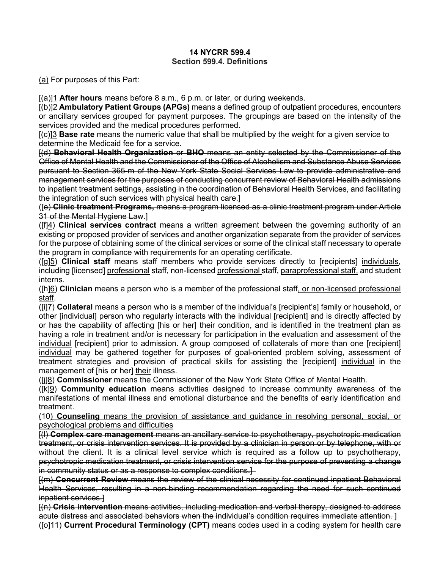### **14 NYCRR 599.4 Section 599.4. Definitions**

(a) For purposes of this Part:

[(a)]1 **After hours** means before 8 a.m., 6 p.m. or later, or during weekends.

[(b)]2 **Ambulatory Patient Groups (APGs)** means a defined group of outpatient procedures, encounters or ancillary services grouped for payment purposes. The groupings are based on the intensity of the services provided and the medical procedures performed.

[(c)]3 **Base rate** means the numeric value that shall be multiplied by the weight for a given service to determine the Medicaid fee for a service.

[(d) **Behavioral Health Organization** or **BHO** means an entity selected by the Commissioner of the Office of Mental Health and the Commissioner of the Office of Alcoholism and Substance Abuse Services pursuant to [Section 365-m of the New York State Social Services Law](http://www.westlaw.com/Link/Document/FullText?findType=L&pubNum=1000136&cite=NYSVS365-M&originatingDoc=IDF3ED49084A311E4B03AF783243EBF51&refType=LQ&originationContext=document&vr=3.0&rs=cblt1.0&transitionType=DocumentItem&contextData=(sc.Default)) to provide administrative and management services for the purposes of conducting concurrent review of Behavioral Health admissions to inpatient treatment settings, assisting in the coordination of Behavioral Health Services, and facilitating the integration of such services with physical health care.]

([e) **Clinic treatment Programs,** means a program licensed as a clinic treatment program under Article 31 of the Mental Hygiene Law.]

([f]4) **Clinical services contract** means a written agreement between the governing authority of an existing or proposed provider of services and another organization separate from the provider of services for the purpose of obtaining some of the clinical services or some of the clinical staff necessary to operate the program in compliance with requirements for an operating certificate.

([g]5) **Clinical staff** means staff members who provide services directly to [recipients] individuals, including [licensed] professional staff, non-licensed professional staff, paraprofessional staff, and student interns.

([h]6) **Clinician** means a person who is a member of the professional staff, or non-licensed professional staff.

([i]7) **Collateral** means a person who is a member of the individual's [recipient's] family or household, or other [individual] person who regularly interacts with the individual [recipient] and is directly affected by or has the capability of affecting [his or her] their condition, and is identified in the treatment plan as having a role in treatment and/or is necessary for participation in the evaluation and assessment of the individual [recipient] prior to admission. A group composed of collaterals of more than one [recipient] individual may be gathered together for purposes of goal-oriented problem solving, assessment of treatment strategies and provision of practical skills for assisting the [recipient] individual in the management of [his or her] their illness.

([j]8) **Commissioner** means the Commissioner of the New York State Office of Mental Health.

([k]9) **Community education** means activities designed to increase community awareness of the manifestations of mental illness and emotional disturbance and the benefits of early identification and treatment.

(10) **Counseling** means the provision of assistance and guidance in resolving personal, social, or psychological problems and difficulties

[(l) **Complex care management** means an ancillary service to psychotherapy, psychotropic medication treatment, or crisis intervention services. It is provided by a clinician in person or by telephone, with or without the client. It is a clinical level service which is required as a follow up to psychotherapy, psychotropic medication treatment, or crisis intervention service for the purpose of preventing a change in community status or as a response to complex conditions.

[(m) **Concurrent Review** means the review of the clinical necessity for continued inpatient Behavioral Health Services, resulting in a non-binding recommendation regarding the need for such continued inpatient services.]

[(n) **Crisis intervention** means activities, including medication and verbal therapy, designed to address acute distress and associated behaviors when the individual's condition requires immediate attention. ]

([o]11) **Current Procedural Terminology (CPT)** means codes used in a coding system for health care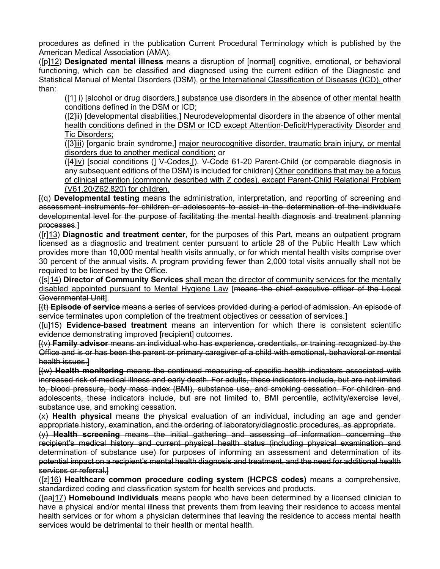procedures as defined in the publication Current Procedural Terminology which is published by the American Medical Association (AMA).

([p]12) **Designated mental illness** means a disruption of [normal] cognitive, emotional, or behavioral functioning, which can be classified and diagnosed using the current edition of the Diagnostic and Statistical Manual of Mental Disorders (DSM), or the International Classification of Diseases (ICD), other than:

([1] i) [alcohol or drug disorders,] substance use disorders in the absence of other mental health conditions defined in the DSM or ICD;

([2]ii) [developmental disabilities,] Neurodevelopmental disorders in the absence of other mental health conditions defined in the DSM or ICD except Attention-Deficit/Hyperactivity Disorder and Tic Disorders;

([3]iii) [organic brain syndrome,] major neurocognitive disorder, traumatic brain injury, or mental disorders due to another medical condition; or

([4]iv) [social conditions (] V-Codes.[). V-Code 61-20 Parent-Child (or comparable diagnosis in any subsequent editions of the DSM) is included for children] Other conditions that may be a focus of clinical attention (commonly described with Z codes), except Parent-Child Relational Problem (V61.20/Z62.820) for children.

[(q) **Developmental testing** means the administration, interpretation, and reporting of screening and assessment instruments for children or adolescents to assist in the determination of the individual's developmental level for the purpose of facilitating the mental health diagnosis and treatment planning processes.]

([r]13) **Diagnostic and treatment center**, for the purposes of this Part, means an outpatient program licensed as a diagnostic and treatment center pursuant to article 28 of the Public Health Law which provides more than 10,000 mental health visits annually, or for which mental health visits comprise over 30 percent of the annual visits. A program providing fewer than 2,000 total visits annually shall not be required to be licensed by the Office.

([s]14) **Director of Community Services** shall mean the director of community services for the mentally disabled appointed pursuant to Mental Hygiene Law [means the chief executive officer of the Local Governmental Unit].

[(t) **Episode of service** means a series of services provided during a period of admission. An episode of service terminates upon completion of the treatment objectives or cessation of services.]

([u]15) **Evidence-based treatment** means an intervention for which there is consistent scientific evidence demonstrating improved [recipient] outcomes.

[(v) **Family advisor** means an individual who has experience, credentials, or training recognized by the Office and is or has been the parent or primary caregiver of a child with emotional, behavioral or mental health issues.]

[(w) **Health monitoring** means the continued measuring of specific health indicators associated with increased risk of medical illness and early death. For adults, these indicators include, but are not limited to, blood pressure, body mass index (BMI), substance use, and smoking cessation. For children and adolescents, these indicators include, but are not limited to, BMI percentile, activity/exercise level, substance use, and smoking cessation.

(x) **Health physical** means the physical evaluation of an individual, including an age and gender appropriate history, examination, and the ordering of laboratory/diagnostic procedures, as appropriate.

(y) **Health screening** means the initial gathering and assessing of information concerning the recipient's medical history and current physical health status (including physical examination and determination of substance use) for purposes of informing an assessment and determination of its potential impact on a recipient's mental health diagnosis and treatment, and the need for additional health services or referral.

([z]16) **Healthcare common procedure coding system (HCPCS codes)** means a comprehensive, standardized coding and classification system for health services and products.

([aa]17) **Homebound individuals** means people who have been determined by a licensed clinician to have a physical and/or mental illness that prevents them from leaving their residence to access mental health services or for whom a physician determines that leaving the residence to access mental health services would be detrimental to their health or mental health.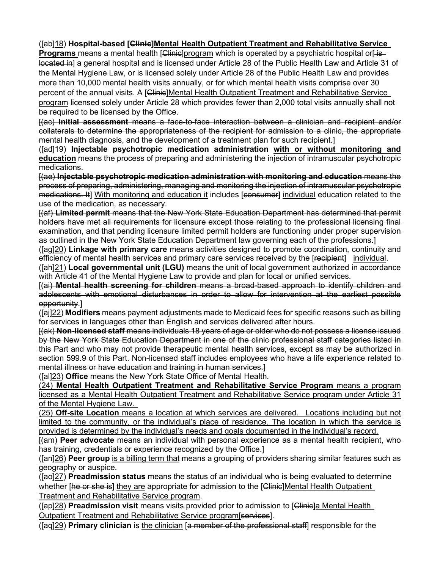# ([ab]18) **Hospital-based [Clinic]Mental Health Outpatient Treatment and Rehabilitative Service**

**Programs** means a mental health [Clinic]program which is operated by a psychiatric hospital or[-islocated in] a general hospital and is licensed under Article 28 of the Public Health Law and Article 31 of the Mental Hygiene Law, or is licensed solely under Article 28 of the Public Health Law and provides more than 10,000 mental health visits annually, or for which mental health visits comprise over 30 percent of the annual visits. A [Clinic]Mental Health Outpatient Treatment and Rehabilitative Service program licensed solely under Article 28 which provides fewer than 2,000 total visits annually shall not be required to be licensed by the Office.

[(ac) **Initial assessment** means a face-to-face interaction between a clinician and recipient and/or collaterals to determine the appropriateness of the recipient for admission to a clinic, the appropriate mental health diagnosis, and the development of a treatment plan for such recipient.]

([ad]19) **Injectable psychotropic medication administration with or without monitoring and education** means the process of preparing and administering the injection of intramuscular psychotropic medications.

[(ae) **Injectable psychotropic medication administration with monitoring and education** means the process of preparing, administering, managing and monitoring the injection of intramuscular psychotropic medications. It] With monitoring and education it includes [consumer] individual education related to the use of the medication, as necessary.

[(af) **Limited permit** means that the New York State Education Department has determined that permit holders have met all requirements for licensure except those relating to the professional licensing final examination, and that pending licensure limited permit holders are functioning under proper supervision as outlined in the New York State Education Department law governing each of the professions.]

([ag]20) **Linkage with primary care** means activities designed to promote coordination, continuity and efficiency of mental health services and primary care services received by the [recipient] individual.

([ah]21) **Local governmental unit (LGU)** means the unit of local government authorized in accordance with Article 41 of the Mental Hygiene Law to provide and plan for local or unified services.

[(ai) **Mental health screening for children** means a broad-based approach to identify children and adolescents with emotional disturbances in order to allow for intervention at the earliest possible opportunity.]

([aj]22) **Modifiers** means payment adjustments made to Medicaid fees for specific reasons such as billing for services in languages other than English and services delivered after hours.

[(ak) **Non-licensed staff** means individuals 18 years of age or older who do not possess a license issued by the New York State Education Department in one of the clinic professional staff categories listed in this Part and who may not provide therapeutic mental health services, except as may be authorized in section 599.9 of this Part. Non-licensed staff includes employees who have a life experience related to mental illness or have education and training in human services.]

([al]23) **Office** means the New York State Office of Mental Health.

(24) **Mental Health Outpatient Treatment and Rehabilitative Service Program** means a program licensed as a Mental Health Outpatient Treatment and Rehabilitative Service program under Article 31 of the Mental Hygiene Law.

(25) **Off-site Location** means a location at which services are delivered. Locations including but not limited to the community, or the individual's place of residence. The location in which the service is provided is determined by the individual's needs and goals documented in the individual's record.

[(am) **Peer advocate** means an individual with personal experience as a mental health recipient, who has training, credentials or experience recognized by the Office.]

([an]26) **Peer group** is a billing term that means a grouping of providers sharing similar features such as geography or auspice.

([ao]27) **Preadmission status** means the status of an individual who is being evaluated to determine whether [he or she is] they are appropriate for admission to the [Clinic]Mental Health Outpatient Treatment and Rehabilitative Service program.

([ap]28) **Preadmission visit** means visits provided prior to admission to [Clinic]a Mental Health Outpatient Treatment and Rehabilitative Service program[services].

([aq]29) **Primary clinician** is the clinician [a member of the professional staff] responsible for the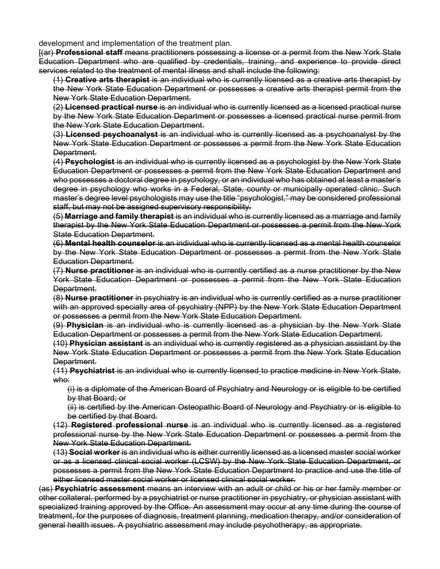development and implementation of the treatment plan.

[(ar) **Professional staff** means practitioners possessing a license or a permit from the New York State Education Department who are qualified by credentials, training, and experience to provide direct services related to the treatment of mental illness and shall include the following:

(1) **Creative arts therapist** is an individual who is currently licensed as a creative arts therapist by the New York State Education Department or possesses a creative arts therapist permit from the New York State Education Department.

(2) **Licensed practical nurse** is an individual who is currently licensed as a licensed practical nurse by the New York State Education Department or possesses a licensed practical nurse permit from the New York State Education Department.

(3) **Licensed psychoanalyst** is an individual who is currently licensed as a psychoanalyst by the New York State Education Department or possesses a permit from the New York State Education Department.

(4) **Psychologist** is an individual who is currently licensed as a psychologist by the New York State Education Department or possesses a permit from the New York State Education Department and who possesses a doctoral degree in psychology, or an individual who has obtained at least a master's degree in psychology who works in a Federal, State, county or municipally operated clinic. Such master's degree level psychologists may use the title "psychologist," may be considered professional staff, but may not be assigned supervisory responsibility.

(5) **Marriage and family therapist** is an individual who is currently licensed as a marriage and family therapist by the New York State Education Department or possesses a permit from the New York State Education Department.

(6) **Mental health counselor** is an individual who is currently licensed as a mental health counselor by the New York State Education Department or possesses a permit from the New York State Education Department.

(7) **Nurse practitioner** is an individual who is currently certified as a nurse practitioner by the New York State Education Department or possesses a permit from the New York State Education Department.

(8) **Nurse practitioner** in psychiatry is an individual who is currently certified as a nurse practitioner with an approved specialty area of psychiatry (NPP) by the New York State Education Department or possesses a permit from the New York State Education Department.

(9) **Physician** is an individual who is currently licensed as a physician by the New York State Education Department or possesses a permit from the New York State Education Department.

(10) **Physician assistant** is an individual who is currently registered as a physician assistant by the New York State Education Department or possesses a permit from the New York State Education Department.

(11) **Psychiatrist** is an individual who is currently licensed to practice medicine in New York State, who:

(i) is a diplomate of the American Board of Psychiatry and Neurology or is eligible to be certified by that Board; or

(ii) is certified by the American Osteopathic Board of Neurology and Psychiatry or is eligible to be certified by that Board.

(12) **Registered professional nurse** is an individual who is currently licensed as a registered professional nurse by the New York State Education Department or possesses a permit from the New York State Education Department.

(13) **Social worker** is an individual who is either currently licensed as a licensed master social worker or as a licensed clinical social worker (LCSW) by the New York State Education Department, or possesses a permit from the New York State Education Department to practice and use the title of either licensed master social worker or licensed clinical social worker.

(as) **Psychiatric assessment** means an interview with an adult or child or his or her family member or other collateral, performed by a psychiatrist or nurse practitioner in psychiatry, or physician assistant with specialized training approved by the Office. An assessment may occur at any time during the course of treatment, for the purposes of diagnosis, treatment planning, medication therapy, and/or consideration of general health issues. A psychiatric assessment may include psychotherapy, as appropriate.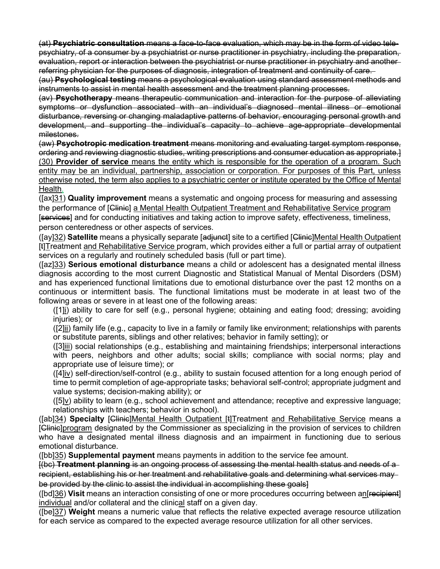(at) **Psychiatric consultation** means a face-to-face evaluation, which may be in the form of video telepsychiatry, of a consumer by a psychiatrist or nurse practitioner in psychiatry, including the preparation, evaluation, report or interaction between the psychiatrist or nurse practitioner in psychiatry and another referring physician for the purposes of diagnosis, integration of treatment and continuity of care.

(au) **Psychological testing** means a psychological evaluation using standard assessment methods and instruments to assist in mental health assessment and the treatment planning processes.

(av) **Psychotherapy** means therapeutic communication and interaction for the purpose of alleviating symptoms or dysfunction associated with an individual's diagnosed mental illness or emotional disturbance, reversing or changing maladaptive patterns of behavior, encouraging personal growth and development, and supporting the individual's capacity to achieve age-appropriate developmental milestones.

(aw) **Psychotropic medication treatment** means monitoring and evaluating target symptom response, ordering and reviewing diagnostic studies, writing prescriptions and consumer education as appropriate.] (30) **Provider of service** means the entity which is responsible for the operation of a program. Such entity may be an individual, partnership, association or corporation. For purposes of this Part, unless otherwise noted, the term also applies to a psychiatric center or institute operated by the Office of Mental Health.

([ax]31) **Quality improvement** means a systematic and ongoing process for measuring and assessing the performance of [Clinic] a Mental Health Outpatient Treatment and Rehabilitative Service program [services] and for conducting initiatives and taking action to improve safety, effectiveness, timeliness, person centeredness or other aspects of services.

([ay]32) **Satellite** means a physically separate [adjunct] site to a certified [Clinic]Mental Health Outpatient [t]Treatment and Rehabilitative Service program, which provides either a full or partial array of outpatient services on a regularly and routinely scheduled basis (full or part time).

([az]33) **Serious emotional disturbance** means a child or adolescent has a designated mental illness diagnosis according to the most current Diagnostic and Statistical Manual of Mental Disorders (DSM) and has experienced functional limitations due to emotional disturbance over the past 12 months on a continuous or intermittent basis. The functional limitations must be moderate in at least two of the following areas or severe in at least one of the following areas:

([1]i) ability to care for self (e.g., personal hygiene; obtaining and eating food; dressing; avoiding injuries); or

([2]ii) family life (e.g., capacity to live in a family or family like environment; relationships with parents or substitute parents, siblings and other relatives; behavior in family setting); or

([3]iii) social relationships (e.g., establishing and maintaining friendships; interpersonal interactions with peers, neighbors and other adults; social skills; compliance with social norms; play and appropriate use of leisure time); or

([4]iv) self-direction/self-control (e.g., ability to sustain focused attention for a long enough period of time to permit completion of age-appropriate tasks; behavioral self-control; appropriate judgment and value systems; decision-making ability); or

([5]v) ability to learn (e.g., school achievement and attendance; receptive and expressive language; relationships with teachers; behavior in school).

([ab]34) **Specialty** [Clinic]Mental Health Outpatient [t]Treatment and Rehabilitative Service means a [Clinic]program designated by the Commissioner as specializing in the provision of services to children who have a designated mental illness diagnosis and an impairment in functioning due to serious emotional disturbance.

([bb]35) **Supplemental payment** means payments in addition to the service fee amount.

[(bc) **Treatment planning** is an ongoing process of assessing the mental health status and needs of a recipient, establishing his or her treatment and rehabilitative goals and determining what services may be provided by the clinic to assist the individual in accomplishing these goals

([bd]36) **Visit** means an interaction consisting of one or more procedures occurring between an[recipient] individual and/or collateral and the clinical staff on a given day.

([be]37) **Weight** means a numeric value that reflects the relative expected average resource utilization for each service as compared to the expected average resource utilization for all other services.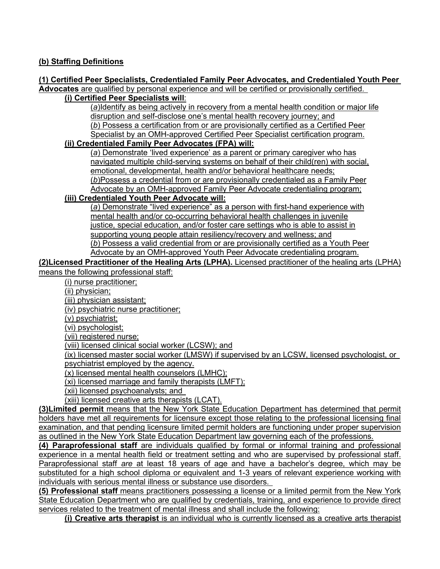# **(b) Staffing Definitions**

#### **(1) Certified Peer Specialists, Credentialed Family Peer Advocates, and Credentialed Youth Peer Advocates** are qualified by personal experience and will be certified or provisionally certified.

# **(i) Certified Peer Specialists will**:

(*a*)Identify as being actively in recovery from a mental health condition or major life disruption and self-disclose one's mental health recovery journey; and (*b*) Possess a certification from or are provisionally certified as a Certified Peer Specialist by an OMH-approved Certified Peer Specialist certification program.

## **(ii) Credentialed Family Peer Advocates (FPA) will:**

(*a*) Demonstrate 'lived experience' as a parent or primary caregiver who has navigated multiple child-serving systems on behalf of their child(ren) with social, emotional, developmental, health and/or behavioral healthcare needs; (*b*)Possess a credential from or are provisionally credentialed as a Family Peer Advocate by an OMH-approved Family Peer Advocate credentialing program;

# **(iii) Credentialed Youth Peer Advocate will:**

(*a*) Demonstrate "lived experience" as a person with first-hand experience with mental health and/or co-occurring behavioral health challenges in juvenile justice, special education, and/or foster care settings who is able to assist in supporting young people attain resiliency/recovery and wellness; and (*b*) Possess a valid credential from or are provisionally certified as a Youth Peer Advocate by an OMH-approved Youth Peer Advocate credentialing program.

## **(2)Licensed Practitioner of the Healing Arts (LPHA).** Licensed practitioner of the healing arts (LPHA) means the following professional staff:

(i) nurse practitioner;

- (ii) physician;
- (iii) physician assistant;

(iv) psychiatric nurse practitioner;

(v) psychiatrist;

(vi) psychologist;

(vii) registered nurse;

(viii) licensed clinical social worker (LCSW); and

(ix) licensed master social worker (LMSW) if supervised by an LCSW, licensed psychologist, or psychiatrist employed by the agency.

(x) licensed mental health counselors (LMHC);

(xi) licensed marriage and family therapists (LMFT);

(xii) licensed psychoanalysts; and

(xiii) licensed creative arts therapists (LCAT).

**(3)Limited permit** means that the New York State Education Department has determined that permit holders have met all requirements for licensure except those relating to the professional licensing final examination, and that pending licensure limited permit holders are functioning under proper supervision as outlined in the New York State Education Department law governing each of the professions.

**(4) Paraprofessional staff** are individuals qualified by formal or informal training and professional experience in a mental health field or treatment setting and who are supervised by professional staff. Paraprofessional staff *are* at least 18 years of age and have a bachelor's degree, which may be substituted for a high school diploma or equivalent and 1-3 years of relevant experience working with individuals with serious mental illness or substance use disorders.

**(5) Professional staff** means practitioners possessing a license or a limited permit from the New York State Education Department who are qualified by credentials, training, and experience to provide direct services related to the treatment of mental illness and shall include the following:

**(i) Creative arts therapist** is an individual who is currently licensed as a creative arts therapist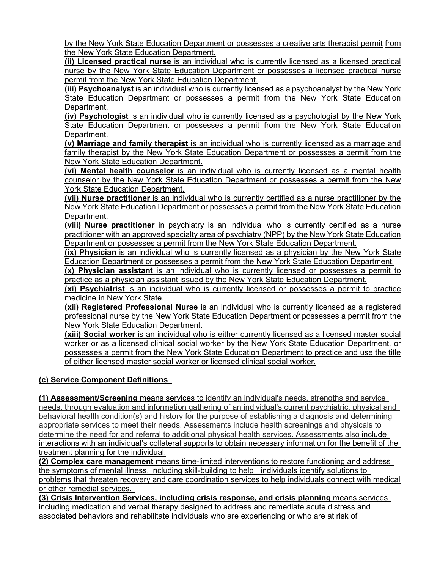by the New York State Education Department or possesses a creative arts therapist permit from the New York State Education Department.

**(ii) Licensed practical nurse** is an individual who is currently licensed as a licensed practical nurse by the New York State Education Department or possesses a licensed practical nurse permit from the New York State Education Department.

**(iii) Psychoanalyst** is an individual who is currently licensed as a psychoanalyst by the New York State Education Department or possesses a permit from the New York State Education Department.

**(iv) Psychologist** is an individual who is currently licensed as a psychologist by the New York State Education Department or possesses a permit from the New York State Education Department.

**(v) Marriage and family therapist** is an individual who is currently licensed as a marriage and family therapist by the New York State Education Department or possesses a permit from the New York State Education Department.

**(vi) Mental health counselor** is an individual who is currently licensed as a mental health counselor by the New York State Education Department or possesses a permit from the New York State Education Department.

**(vii) Nurse practitioner** is an individual who is currently certified as a nurse practitioner by the New York State Education Department or possesses a permit from the New York State Education Department.

**(viii) Nurse practitioner** in psychiatry is an individual who is currently certified as a nurse practitioner with an approved specialty area of psychiatry (NPP) by the New York State Education Department or possesses a permit from the New York State Education Department.

**(ix) Physician** is an individual who is currently licensed as a physician by the New York State Education Department or possesses a permit from the New York State Education Department.

**(x) Physician assistant** is an individual who is currently licensed or possesses a permit to practice as a physician assistant issued by the New York State Education Department.

**(xi) Psychiatrist** is an individual who is currently licensed or possesses a permit to practice medicine in New York State.

**(xii) Registered Professional Nurse** is an individual who is currently licensed as a registered professional nurse by the New York State Education Department or possesses a permit from the New York State Education Department.

**(xiii) Social worker** is an individual who is either currently licensed as a licensed master social worker or as a licensed clinical social worker by the New York State Education Department, or possesses a permit from the New York State Education Department to practice and use the title of either licensed master social worker or licensed clinical social worker.

# **(c) Service Component Definitions**

**(1) Assessment/Screening** means services to identify an individual's needs, strengths and service needs, through evaluation and information gathering of an individual's current psychiatric, physical and behavioral health condition(s) and history for the purpose of establishing a diagnosis and determining appropriate services to meet their needs. Assessments include health screenings and physicals to determine the need for and referral to additional physical health services. Assessments also include interactions with an individual's collateral supports to obtain necessary information for the benefit of the treatment planning for the individual.

**(2) Complex care management** means time-limited interventions to restore functioning and address the symptoms of mental illness, including skill-building to help individuals identify solutions to problems that threaten recovery and care coordination services to help individuals connect with medical or other remedial services.

**(3) Crisis Intervention Services, including crisis response, and crisis planning** means services including medication and verbal therapy designed to address and remediate acute distress and associated behaviors and rehabilitate individuals who are experiencing or who are at risk of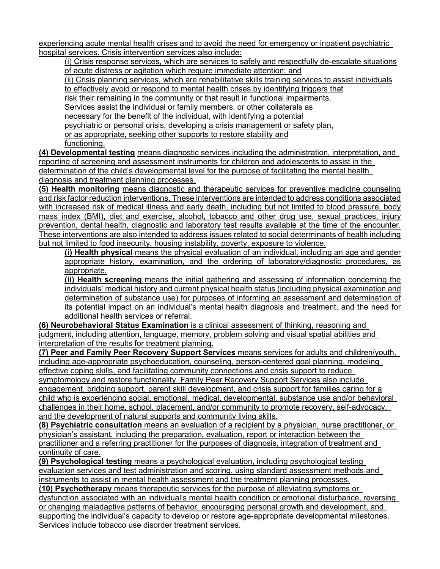experiencing acute mental health crises and to avoid the need for emergency or inpatient psychiatric hospital services. Crisis intervention services also include:

(i) Crisis response services, which are services to safely and respectfully de-escalate situations of acute distress or agitation which require immediate attention; and

(ii) Crisis planning services, which are rehabilitative skills training services to assist individuals to effectively avoid or respond to mental health crises by identifying triggers that

risk their remaining in the community or that result in functional impairments.

Services assist the individual or family members, or other collaterals as

necessary for the benefit of the individual, with identifying a potential

psychiatric or personal crisis, developing a crisis management or safety plan,

or as appropriate, seeking other supports to restore stability and

functioning.

**(4) Developmental testing** means diagnostic services including the administration, interpretation, and reporting of screening and assessment instruments for children and adolescents to assist in the determination of the child's developmental level for the purpose of facilitating the mental health diagnosis and treatment planning processes.

**(5) Health monitoring** means diagnostic and therapeutic services for preventive medicine counseling and risk factor reduction interventions. These interventions are intended to address conditions associated with increased risk of medical illness and early death, including but not limited to blood pressure, body mass index (BMI), diet and exercise, alcohol, tobacco and other drug use, sexual practices, injury prevention, dental health, diagnostic and laboratory test results available at the time of the encounter. These interventions are also intended to address issues related to social determinants of health including but not limited to food insecurity, housing instability, poverty, exposure to violence.

**(i) Health physical** means the physical evaluation of an individual, including an age and gender appropriate history, examination, and the ordering of laboratory/diagnostic procedures, as appropriate.

**(ii) Health screening** means the initial gathering and assessing of information concerning the individuals' medical history and current physical health status (including physical examination and determination of substance use) for purposes of informing an assessment and determination of its potential impact on an individual's mental health diagnosis and treatment, and the need for additional health services or referral.

**(6) Neurobehavioral Status Examination** is a clinical assessment of thinking, reasoning and judgment, including attention, language, memory, problem solving and visual spatial abilities and interpretation of the results for treatment planning.

**(7) Peer and Family Peer Recovery Support Services** means services for adults and children/youth, including age-appropriate psychoeducation, counseling, person-centered goal planning, modeling effective coping skills, and facilitating community connections and crisis support to reduce

symptomology and restore functionality. Family Peer Recovery Support Services also include engagement, bridging support, parent skill development, and crisis support for families caring for a child who is experiencing social, emotional, medical, developmental, substance use and/or behavioral challenges in their home, school, placement, and/or community to promote recovery, self-advocacy, and the development of natural supports and community living skills.

**(8) Psychiatric consultation** means an evaluation of a recipient by a physician, nurse practitioner, or physician's assistant, including the preparation, evaluation, report or interaction between the practitioner and a referring practitioner for the purposes of diagnosis, integration of treatment and continuity of care.

**(9) Psychological testing** means a psychological evaluation, including psychological testing evaluation services and test administration and scoring, using standard assessment methods and instruments to assist in mental health assessment and the treatment planning processes.

**(10) Psychotherapy** means therapeutic services for the purpose of alleviating symptoms or dysfunction associated with an individual's mental health condition or emotional disturbance, reversing or changing maladaptive patterns of behavior, encouraging personal growth and development, and supporting the individual's capacity to develop or restore age-appropriate developmental milestones. Services include tobacco use disorder treatment services.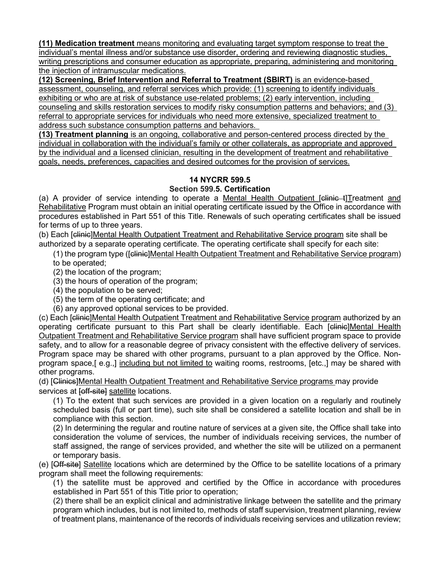**(11) Medication treatment** means monitoring and evaluating target symptom response to treat the individual's mental illness and/or substance use disorder, ordering and reviewing diagnostic studies, writing prescriptions and consumer education as appropriate, preparing, administering and monitoring the injection of intramuscular medications.

**(12) Screening, Brief Intervention and Referral to Treatment (SBIRT)** is an evidence-based assessment, counseling, and referral services which provide: (1) screening to identify individuals exhibiting or who are at risk of substance use-related problems; (2) early intervention, including counseling and skills restoration services to modify risky consumption patterns and behaviors; and (3) referral to appropriate services for individuals who need more extensive, specialized treatment to address such substance consumption patterns and behaviors.

**(13) Treatment planning** is an ongoing, collaborative and person-centered process directed by the individual in collaboration with the individual's family or other collaterals, as appropriate and approved by the individual and a licensed clinician, resulting in the development of treatment and rehabilitative goals, needs, preferences, capacities and desired outcomes for the provision of services.

### **14 NYCRR 599.5 Section 599.5. Certification**

(a) A provider of service intending to operate a Mental Health Outpatient [clinic t]Treatment and Rehabilitative Program must obtain an initial operating certificate issued by the Office in accordance with procedures established in Part 551 of this Title. Renewals of such operating certificates shall be issued for terms of up to three years.

(b) Each [clinic]Mental Health Outpatient Treatment and Rehabilitative Service program site shall be authorized by a separate operating certificate. The operating certificate shall specify for each site:

(1) the program type ([clinic]Mental Health Outpatient Treatment and Rehabilitative Service program)

to be operated;

(2) the location of the program;

(3) the hours of operation of the program;

(4) the population to be served;

(5) the term of the operating certificate; and

(6) any approved optional services to be provided.

(c) Each [clinic]Mental Health Outpatient Treatment and Rehabilitative Service program authorized by an operating certificate pursuant to this Part shall be clearly identifiable. Each [clinic]Mental Health Outpatient Treatment and Rehabilitative Service program shall have sufficient program space to provide safety, and to allow for a reasonable degree of privacy consistent with the effective delivery of services. Program space may be shared with other programs, pursuant to a plan approved by the Office. Nonprogram space,[ e.g.,] including but not limited to waiting rooms, restrooms, [etc.,] may be shared with other programs.

(d) [Clinics]Mental Health Outpatient Treatment and Rehabilitative Service programs may provide services at [off-site] satellite locations.

(1) To the extent that such services are provided in a given location on a regularly and routinely scheduled basis (full or part time), such site shall be considered a satellite location and shall be in compliance with this section.

(2) In determining the regular and routine nature of services at a given site, the Office shall take into consideration the volume of services, the number of individuals receiving services, the number of staff assigned, the range of services provided, and whether the site will be utilized on a permanent or temporary basis.

(e) [Off-site] Satellite locations which are determined by the Office to be satellite locations of a primary program shall meet the following requirements:

(1) the satellite must be approved and certified by the Office in accordance with procedures established in Part 551 of this Title prior to operation;

(2) there shall be an explicit clinical and administrative linkage between the satellite and the primary program which includes, but is not limited to, methods of staff supervision, treatment planning, review of treatment plans, maintenance of the records of individuals receiving services and utilization review;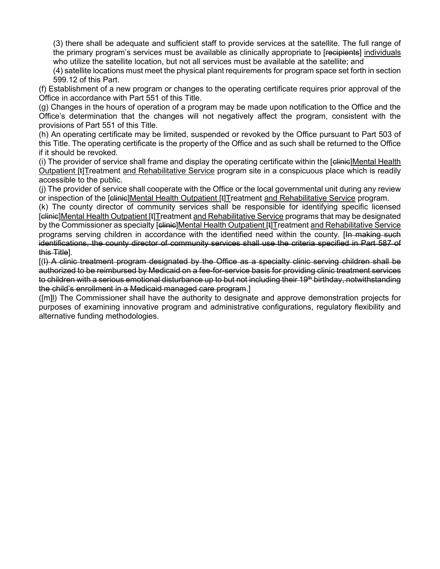(3) there shall be adequate and sufficient staff to provide services at the satellite. The full range of the primary program's services must be available as clinically appropriate to [recipients] individuals who utilize the satellite location, but not all services must be available at the satellite; and

(4) satellite locations must meet the physical plant requirements for program space set forth in section 599.12 of this Part.

(f) Establishment of a new program or changes to the operating certificate requires prior approval of the Office in accordance with Part 551 of this Title.

(g) Changes in the hours of operation of a program may be made upon notification to the Office and the Office's determination that the changes will not negatively affect the program, consistent with the provisions of Part 551 of this Title.

(h) An operating certificate may be limited, suspended or revoked by the Office pursuant to Part 503 of this Title. The operating certificate is the property of the Office and as such shall be returned to the Office if it should be revoked.

(i) The provider of service shall frame and display the operating certificate within the [elinie]Mental Health Outpatient [t]Treatment and Rehabilitative Service program site in a conspicuous place which is readily accessible to the public.

(j) The provider of service shall cooperate with the Office or the local governmental unit during any review or inspection of the [clinic]Mental Health Outpatient [t]Treatment and Rehabilitative Service program.

(k) The county director of community services shall be responsible for identifying specific licensed [clinic]Mental Health Outpatient [t]Treatment and Rehabilitative Service programs that may be designated by the Commissioner as specialty [<del>clinic</del>]Mental Health Outpatient [t]Treatment and Rehabilitative Service programs serving children in accordance with the identified need within the county. [In making such identifications, the county director of community services shall use the criteria specified in Part 587 of this Title].

[(l) A clinic treatment program designated by the Office as a specialty clinic serving children shall be authorized to be reimbursed by Medicaid on a fee-for-service basis for providing clinic treatment services to children with a serious emotional disturbance up to but not including their 19<sup>th</sup> birthday, notwithstanding the child's enrollment in a Medicaid managed care program.]

([m]l) The Commissioner shall have the authority to designate and approve demonstration projects for purposes of examining innovative program and administrative configurations, regulatory flexibility and alternative funding methodologies.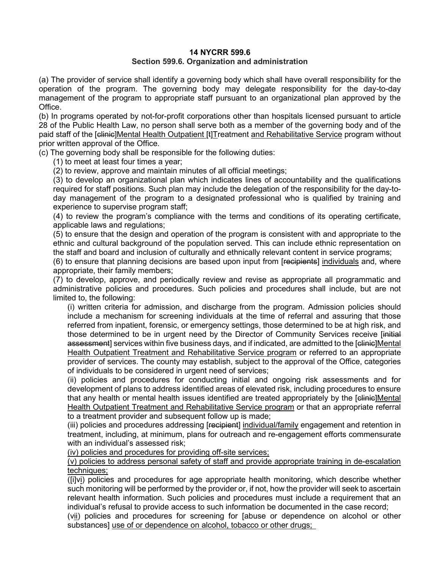#### **14 NYCRR 599.6 Section 599.6. Organization and administration**

(a) The provider of service shall identify a governing body which shall have overall responsibility for the operation of the program. The governing body may delegate responsibility for the day-to-day management of the program to appropriate staff pursuant to an organizational plan approved by the Office.

(b) In programs operated by not-for-profit corporations other than hospitals licensed pursuant to article 28 of the Public Health Law, no person shall serve both as a member of the governing body and of the paid staff of the [clinic]Mental Health Outpatient [t]Treatment and Rehabilitative Service program without prior written approval of the Office.

(c) The governing body shall be responsible for the following duties:

(1) to meet at least four times a year;

(2) to review, approve and maintain minutes of all official meetings;

(3) to develop an organizational plan which indicates lines of accountability and the qualifications required for staff positions. Such plan may include the delegation of the responsibility for the day-today management of the program to a designated professional who is qualified by training and experience to supervise program staff;

(4) to review the program's compliance with the terms and conditions of its operating certificate, applicable laws and regulations;

(5) to ensure that the design and operation of the program is consistent with and appropriate to the ethnic and cultural background of the population served. This can include ethnic representation on the staff and board and inclusion of culturally and ethnically relevant content in service programs;

(6) to ensure that planning decisions are based upon input from [recipients] individuals and, where appropriate, their family members;

(7) to develop, approve, and periodically review and revise as appropriate all programmatic and administrative policies and procedures. Such policies and procedures shall include, but are not limited to, the following:

(i) written criteria for admission, and discharge from the program. Admission policies should include a mechanism for screening individuals at the time of referral and assuring that those referred from inpatient, forensic, or emergency settings, those determined to be at high risk, and those determined to be in urgent need by the Director of Community Services receive [initial assessment] services within five business days, and if indicated, are admitted to the [clinic]Mental Health Outpatient Treatment and Rehabilitative Service program or referred to an appropriate provider of services. The county may establish, subject to the approval of the Office, categories of individuals to be considered in urgent need of services;

(ii) policies and procedures for conducting initial and ongoing risk assessments and for development of plans to address identified areas of elevated risk, including procedures to ensure that any health or mental health issues identified are treated appropriately by the [clinic]Mental Health Outpatient Treatment and Rehabilitative Service program or that an appropriate referral to a treatment provider and subsequent follow up is made;

(iii) policies and procedures addressing [recipient] individual/family engagement and retention in treatment, including, at minimum, plans for outreach and re-engagement efforts commensurate with an individual's assessed risk:

(iv) policies and procedures for providing off-site services;

(v) policies to address personal safety of staff and provide appropriate training in de-escalation techniques;

([i]vi) policies and procedures for age appropriate health monitoring, which describe whether such monitoring will be performed by the provider or, if not, how the provider will seek to ascertain relevant health information. Such policies and procedures must include a requirement that an individual's refusal to provide access to such information be documented in the case record;

(vii) policies and procedures for screening for [abuse or dependence on alcohol or other substances] use of or dependence on alcohol, tobacco or other drugs;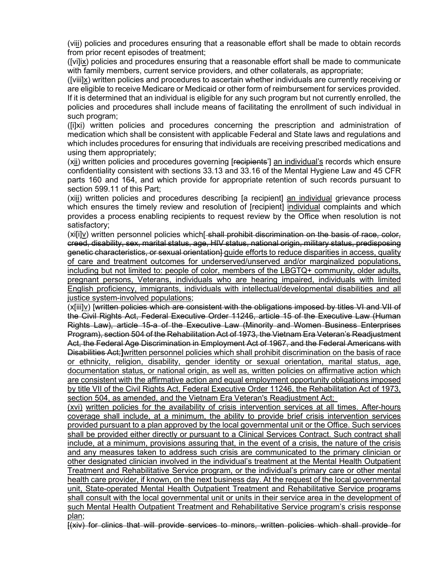(viii) policies and procedures ensuring that a reasonable effort shall be made to obtain records from prior recent episodes of treatment;

([vi]ix) policies and procedures ensuring that a reasonable effort shall be made to communicate with family members, current service providers, and other collaterals, as appropriate;

([viii]x) written policies and procedures to ascertain whether individuals are currently receiving or are eligible to receive Medicare or Medicaid or other form of reimbursement for services provided.

If it is determined that an individual is eligible for any such program but not currently enrolled, the policies and procedures shall include means of facilitating the enrollment of such individual in such program;

([i]xi) written policies and procedures concerning the prescription and administration of medication which shall be consistent with applicable Federal and State laws and regulations and which includes procedures for ensuring that individuals are receiving prescribed medications and using them appropriately;

(xii) written policies and procedures governing [recipients'] an individual's records which ensure confidentiality consistent with [sections 33.13](http://www.westlaw.com/Link/Document/FullText?findType=L&pubNum=1000105&cite=NYMHS33.13&originatingDoc=IA0D179C0110A11EBA22BC5980793BA99&refType=LQ&originationContext=document&vr=3.0&rs=cblt1.0&transitionType=DocumentItem&contextData=(sc.Default)) and [33.16 of the Mental Hygiene Law](http://www.westlaw.com/Link/Document/FullText?findType=L&pubNum=1000105&cite=NYMHS33.16&originatingDoc=IA0D179C0110A11EBA22BC5980793BA99&refType=LQ&originationContext=document&vr=3.0&rs=cblt1.0&transitionType=DocumentItem&contextData=(sc.Default)) and 45 CFR parts 160 and 164, and which provide for appropriate retention of such records pursuant to section 599.11 of this Part;

(xiii) written policies and procedures describing [a recipient] an individual grievance process which ensures the timely review and resolution of [recipient] individual complaints and which provides a process enabling recipients to request review by the Office when resolution is not satisfactory;

(xi[i]v) written personnel policies which[-shall prohibit discrimination on the basis of race, color, creed, disability, sex, marital status, age, HIV status, national origin, military status, predisposing genetic characteristics, or sexual orientation] guide efforts to reduce disparities in access, quality of care and treatment outcomes for underserved/unserved and/or marginalized populations, including but not limited to: people of color, members of the LBGTQ+ community, older adults, pregnant persons, Veterans, individuals who are hearing impaired, individuals with limited English proficiency, immigrants, individuals with intellectual/developmental disabilities and all justice system-involved populations:

(x[iii]v) [written policies which are consistent with the obligations imposed by titles VI and VII of the Civil Rights Act, Federal [Executive Order 11246,](http://www.westlaw.com/Link/Document/FullText?findType=Y&serNum=1965078314&pubNum=0001043&originatingDoc=IA0D179C0110A11EBA22BC5980793BA99&refType=CA&originationContext=document&vr=3.0&rs=cblt1.0&transitionType=DocumentItem&contextData=(sc.Default)) article 15 of the Executive Law (Human Rights Law), article 15-a of the Executive Law (Minority and Women Business Enterprises Program), section 504 of the Rehabilitation Act of 1973, the Vietnam Era Veteran's Readjustment Act, the Federal Age Discrimination in Employment Act of 1967, and the Federal Americans with Disabilities Act;**]**written personnel policies which shall prohibit discrimination on the basis of race or ethnicity, religion, disability, gender identity or sexual orientation, marital status, age, documentation status, or national origin, as well as, written policies on affirmative action which are consistent with the affirmative action and equal employment opportunity obligations imposed by title VII of the Civil Rights Act, Federal Executive Order 11246, the Rehabilitation Act of 1973, section 504, as amended, and the Vietnam Era Veteran's Readjustment Act;

(xvi) written policies for the availability of crisis intervention services at all times. After-hours coverage shall include, at a minimum, the ability to provide brief crisis intervention services provided pursuant to a plan approved by the local governmental unit or the Office. Such services shall be provided either directly or pursuant to a Clinical Services Contract. Such contract shall include, at a minimum, provisions assuring that, in the event of a crisis, the nature of the crisis and any measures taken to address such crisis are communicated to the primary clinician or other designated clinician involved in the individual's treatment at the Mental Health Outpatient Treatment and Rehabilitative Service program, or the individual's primary care or other mental health care provider, if known, on the next business day. At the request of the local governmental unit, State-operated Mental Health Outpatient Treatment and Rehabilitative Service programs shall consult with the local governmental unit or units in their service area in the development of such Mental Health Outpatient Treatment and Rehabilitative Service program's crisis response plan;

[(xiv) for clinics that will provide services to minors, written policies which shall provide for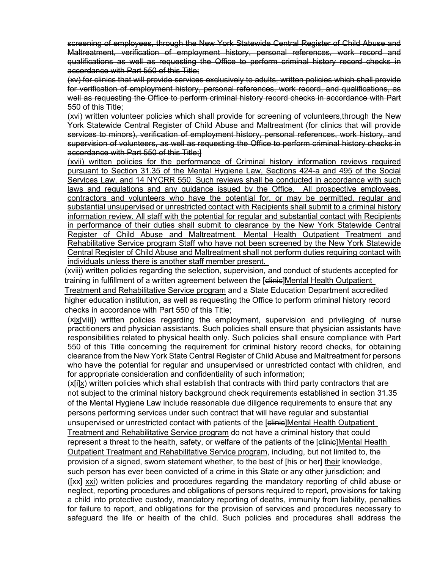screening of employees, through the New York Statewide Central Register of Child Abuse and Maltreatment, verification of employment history, personal references, work record and qualifications as well as requesting the Office to perform criminal history record checks in accordance with Part 550 of this Title;

(xv) for clinics that will provide services exclusively to adults, written policies which shall provide for verification of employment history, personal references, work record, and qualifications, as well as requesting the Office to perform criminal history record checks in accordance with Part 550 of this Title;

(xvi) written volunteer policies which shall provide for screening of volunteers,through the New York Statewide Central Register of Child Abuse and Maltreatment (for clinics that will provide services to minors), verification of employment history, personal references, work history, and supervision of volunteers, as well as requesting the Office to perform criminal history checks in accordance with Part 550 of this Title;]

(xvii) written policies for the performance of Criminal history information reviews required pursuant to Section 31.35 of the Mental Hygiene Law, Sections 424-a and 495 of the Social Services Law, and 14 NYCRR 550. Such reviews shall be conducted in accordance with such laws and regulations and any guidance issued by the Office. All prospective employees, contractors and volunteers who have the potential for, or may be permitted, regular and substantial unsupervised or unrestricted contact with Recipients shall submit to a criminal history information review. All staff with the potential for regular and substantial contact with Recipients in performance of their duties shall submit to clearance by the New York Statewide Central Register of Child Abuse and Maltreatment. Mental Health Outpatient Treatment and Rehabilitative Service program Staff who have not been screened by the New York Statewide Central Register of Child Abuse and Maltreatment shall not perform duties requiring contact with individuals unless there is another staff member present.

(xviii) written policies regarding the selection, supervision, and conduct of students accepted for training in fulfillment of a written agreement between the [clinic]Mental Health Outpatient

Treatment and Rehabilitative Service program and a State Education Department accredited higher education institution, as well as requesting the Office to perform criminal history record checks in accordance with Part 550 of this Title;

(xix[viii]) written policies regarding the employment, supervision and privileging of nurse practitioners and physician assistants. Such policies shall ensure that physician assistants have responsibilities related to physical health only. Such policies shall ensure compliance with Part 550 of this Title concerning the requirement for criminal history record checks, for obtaining clearance from the New York State Central Register of Child Abuse and Maltreatment for persons who have the potential for regular and unsupervised or unrestricted contact with children, and for appropriate consideration and confidentiality of such information;

(x[i]x) written policies which shall establish that contracts with third party contractors that are not subject to the criminal history background check requirements established in [section 31.35](http://www.westlaw.com/Link/Document/FullText?findType=L&pubNum=1000105&cite=NYMHS31.35&originatingDoc=IA0D179C0110A11EBA22BC5980793BA99&refType=LQ&originationContext=document&vr=3.0&rs=cblt1.0&transitionType=DocumentItem&contextData=(sc.Default))  [of the Mental Hygiene Law](http://www.westlaw.com/Link/Document/FullText?findType=L&pubNum=1000105&cite=NYMHS31.35&originatingDoc=IA0D179C0110A11EBA22BC5980793BA99&refType=LQ&originationContext=document&vr=3.0&rs=cblt1.0&transitionType=DocumentItem&contextData=(sc.Default)) include reasonable due diligence requirements to ensure that any persons performing services under such contract that will have regular and substantial unsupervised or unrestricted contact with patients of the [clinic]Mental Health Outpatient

Treatment and Rehabilitative Service program do not have a criminal history that could represent a threat to the health, safety, or welfare of the patients of the [clinic]Mental Health Outpatient Treatment and Rehabilitative Service program, including, but not limited to, the provision of a signed, sworn statement whether, to the best of [his or her] their knowledge, such person has ever been convicted of a crime in this State or any other jurisdiction; and ([xx] xxi) written policies and procedures regarding the mandatory reporting of child abuse or neglect, reporting procedures and obligations of persons required to report, provisions for taking a child into protective custody, mandatory reporting of deaths, immunity from liability, penalties for failure to report, and obligations for the provision of services and procedures necessary to safeguard the life or health of the child. Such policies and procedures shall address the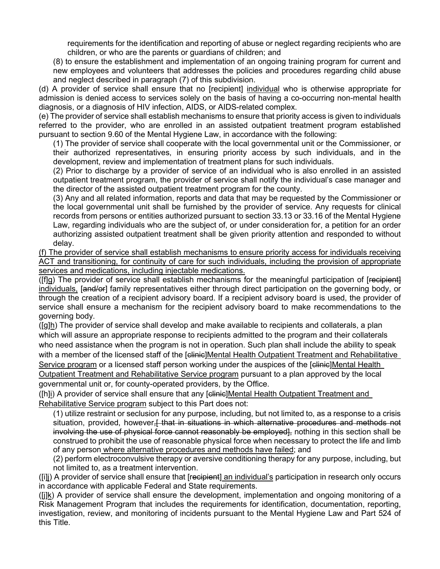requirements for the identification and reporting of abuse or neglect regarding recipients who are children, or who are the parents or guardians of children; and

(8) to ensure the establishment and implementation of an ongoing training program for current and new employees and volunteers that addresses the policies and procedures regarding child abuse and neglect described in paragraph (7) of this subdivision.

(d) A provider of service shall ensure that no [recipient] individual who is otherwise appropriate for admission is denied access to services solely on the basis of having a co-occurring non-mental health diagnosis, or a diagnosis of HIV infection, AIDS, or AIDS-related complex.

(e) The provider of service shall establish mechanisms to ensure that priority access is given to individuals referred to the provider, who are enrolled in an assisted outpatient treatment program established pursuant to [section 9.60 of the Mental Hygiene Law,](http://www.westlaw.com/Link/Document/FullText?findType=L&pubNum=1000105&cite=NYMHS9.60&originatingDoc=IA0D179C0110A11EBA22BC5980793BA99&refType=LQ&originationContext=document&vr=3.0&rs=cblt1.0&transitionType=DocumentItem&contextData=(sc.Default)) in accordance with the following:

(1) The provider of service shall cooperate with the local governmental unit or the Commissioner, or their authorized representatives, in ensuring priority access by such individuals, and in the development, review and implementation of treatment plans for such individuals.

(2) Prior to discharge by a provider of service of an individual who is also enrolled in an assisted outpatient treatment program, the provider of service shall notify the individual's case manager and the director of the assisted outpatient treatment program for the county.

(3) Any and all related information, reports and data that may be requested by the Commissioner or the local governmental unit shall be furnished by the provider of service. Any requests for clinical records from persons or entities authorized pursuant to [section 33.13](http://www.westlaw.com/Link/Document/FullText?findType=L&pubNum=1000105&cite=NYMHS33.13&originatingDoc=IA0D179C0110A11EBA22BC5980793BA99&refType=LQ&originationContext=document&vr=3.0&rs=cblt1.0&transitionType=DocumentItem&contextData=(sc.Default)) or [33.16 of the Mental Hygiene](http://www.westlaw.com/Link/Document/FullText?findType=L&pubNum=1000105&cite=NYMHS33.16&originatingDoc=IA0D179C0110A11EBA22BC5980793BA99&refType=LQ&originationContext=document&vr=3.0&rs=cblt1.0&transitionType=DocumentItem&contextData=(sc.Default))  [Law,](http://www.westlaw.com/Link/Document/FullText?findType=L&pubNum=1000105&cite=NYMHS33.16&originatingDoc=IA0D179C0110A11EBA22BC5980793BA99&refType=LQ&originationContext=document&vr=3.0&rs=cblt1.0&transitionType=DocumentItem&contextData=(sc.Default)) regarding individuals who are the subject of, or under consideration for, a petition for an order authorizing assisted outpatient treatment shall be given priority attention and responded to without delay.

(f) The provider of service shall establish mechanisms to ensure priority access for individuals receiving ACT and transitioning, for continuity of care for such individuals, including the provision of appropriate services and medications, including injectable medications.

(Iflg) The provider of service shall establish mechanisms for the meaningful participation of [recipient] individuals, [and/or] family representatives either through direct participation on the governing body, or through the creation of a recipient advisory board. If a recipient advisory board is used, the provider of service shall ensure a mechanism for the recipient advisory board to make recommendations to the governing body.

([g]h) The provider of service shall develop and make available to recipients and collaterals, a plan which will assure an appropriate response to recipients admitted to the program and their collaterals who need assistance when the program is not in operation. Such plan shall include the ability to speak with a member of the licensed staff of the [elinie]Mental Health Outpatient Treatment and Rehabilitative Service program or a licensed staff person working under the auspices of the [elinie]Mental Health

Outpatient Treatment and Rehabilitative Service program pursuant to a plan approved by the local governmental unit or, for county-operated providers, by the Office.

([h]i) A provider of service shall ensure that any [clinic]Mental Health Outpatient Treatment and Rehabilitative Service program subject to this Part does not:

(1) utilize restraint or seclusion for any purpose, including, but not limited to, as a response to a crisis situation, provided, however, that in situations in which alternative procedures and methods not involving the use of physical force cannot reasonably be employed, nothing in this section shall be construed to prohibit the use of reasonable physical force when necessary to protect the life and limb of any person where alternative procedures and methods have failed; and

(2) perform electroconvulsive therapy or aversive conditioning therapy for any purpose, including, but not limited to, as a treatment intervention.

(iii) A provider of service shall ensure that [r<del>ecipient</del>] an individual's participation in research only occurs in accordance with applicable Federal and State requirements.

([j]k) A provider of service shall ensure the development, implementation and ongoing monitoring of a Risk Management Program that includes the requirements for identification, documentation, reporting, investigation, review, and monitoring of incidents pursuant to the Mental Hygiene Law and Part 524 of this Title.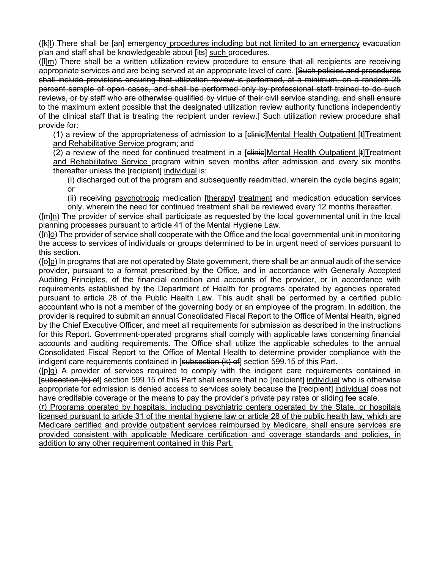([k]l) There shall be [an] emergency procedures including but not limited to an emergency evacuation plan and staff shall be knowledgeable about [its] such procedures.

([l]m) There shall be a written utilization review procedure to ensure that all recipients are receiving appropriate services and are being served at an appropriate level of care. [Such policies and procedures shall include provisions ensuring that utilization review is performed, at a minimum, on a random 25 percent sample of open cases, and shall be performed only by professional staff trained to do such reviews, or by staff who are otherwise qualified by virtue of their civil service standing, and shall ensure to the maximum extent possible that the designated utilization review authority functions independently of the clinical staff that is treating the recipient under review.] Such utilization review procedure shall provide for:

(1) a review of the appropriateness of admission to a [elinie]Mental Health Outpatient [t]Treatment and Rehabilitative Service program; and

(2) a review of the need for continued treatment in a [clinic]Mental Health Outpatient [t]Treatment and Rehabilitative Service program within seven months after admission and every six months thereafter unless the [recipient] individual is:

(i) discharged out of the program and subsequently readmitted, wherein the cycle begins again; or

(ii) receiving psychotropic medication [therapy] treatment and medication education services only, wherein the need for continued treatment shall be reviewed every 12 months thereafter.

([m]n) The provider of service shall participate as requested by the local governmental unit in the local planning processes pursuant to article 41 of the Mental Hygiene Law.

([n]o) The provider of service shall cooperate with the Office and the local governmental unit in monitoring the access to services of individuals or groups determined to be in urgent need of services pursuant to this section.

([o]p) In programs that are not operated by State government, there shall be an annual audit of the service provider, pursuant to a format prescribed by the Office, and in accordance with Generally Accepted Auditing Principles, of the financial condition and accounts of the provider, or in accordance with requirements established by the Department of Health for programs operated by agencies operated pursuant to article 28 of the Public Health Law. This audit shall be performed by a certified public accountant who is not a member of the governing body or an employee of the program. In addition, the provider is required to submit an annual Consolidated Fiscal Report to the Office of Mental Health, signed by the Chief Executive Officer, and meet all requirements for submission as described in the instructions for this Report. Government-operated programs shall comply with applicable laws concerning financial accounts and auditing requirements. The Office shall utilize the applicable schedules to the annual Consolidated Fiscal Report to the Office of Mental Health to determine provider compliance with the indigent care requirements contained in [subsection (k) of] section 599.15 of this Part.

([p]q) A provider of services required to comply with the indigent care requirements contained in [subsection (k) of section 599.15 of this Part shall ensure that no [recipient] individual who is otherwise appropriate for admission is denied access to services solely because the [recipient] individual does not have creditable coverage or the means to pay the provider's private pay rates or sliding fee scale.

(r) Programs operated by hospitals, including psychiatric centers operated by the State, or hospitals licensed pursuant to article 31 of the mental hygiene law or article 28 of the public health law, which are Medicare certified and provide outpatient services reimbursed by Medicare, shall ensure services are provided consistent with applicable Medicare certification and coverage standards and policies, in addition to any other requirement contained in this Part.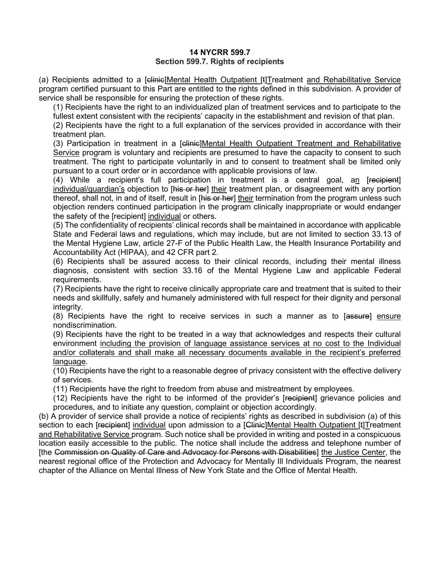### **14 NYCRR 599.7 Section 599.7. Rights of recipients**

(a) Recipients admitted to a [elinie]Mental Health Outpatient [t]Treatment and Rehabilitative Service program certified pursuant to this Part are entitled to the rights defined in this subdivision. A provider of service shall be responsible for ensuring the protection of these rights.

(1) Recipients have the right to an individualized plan of treatment services and to participate to the fullest extent consistent with the recipients' capacity in the establishment and revision of that plan.

(2) Recipients have the right to a full explanation of the services provided in accordance with their treatment plan.

(3) Participation in treatment in a [clinic]Mental Health Outpatient Treatment and Rehabilitative Service program is voluntary and recipients are presumed to have the capacity to consent to such treatment. The right to participate voluntarily in and to consent to treatment shall be limited only pursuant to a court order or in accordance with applicable provisions of law.

(4) While a recipient's full participation in treatment is a central goal, an [recipient] individual/guardian's objection to [his or her] their treatment plan, or disagreement with any portion thereof, shall not, in and of itself, result in [his or her] their termination from the program unless such objection renders continued participation in the program clinically inappropriate or would endanger the safety of the [recipient] individual or others.

(5) The confidentiality of recipients' clinical records shall be maintained in accordance with applicable State and Federal laws and regulations, which may include, but are not limited to [section 33.13 of](http://www.westlaw.com/Link/Document/FullText?findType=L&pubNum=1000105&cite=NYMHS33.13&originatingDoc=IB555B5008EFC11DFADEE87BBF9B0B2E2&refType=LQ&originationContext=document&vr=3.0&rs=cblt1.0&transitionType=DocumentItem&contextData=(sc.Default))  [the Mental Hygiene Law,](http://www.westlaw.com/Link/Document/FullText?findType=L&pubNum=1000105&cite=NYMHS33.13&originatingDoc=IB555B5008EFC11DFADEE87BBF9B0B2E2&refType=LQ&originationContext=document&vr=3.0&rs=cblt1.0&transitionType=DocumentItem&contextData=(sc.Default)) article 27-F of the Public Health Law, the Health Insurance Portability and Accountability Act (HIPAA), and 42 CFR part 2.

(6) Recipients shall be assured access to their clinical records, including their mental illness diagnosis, consistent with [section 33.16 of the Mental Hygiene Law](http://www.westlaw.com/Link/Document/FullText?findType=L&pubNum=1000105&cite=NYMHS33.16&originatingDoc=IB555B5008EFC11DFADEE87BBF9B0B2E2&refType=LQ&originationContext=document&vr=3.0&rs=cblt1.0&transitionType=DocumentItem&contextData=(sc.Default)) and applicable Federal requirements.

(7) Recipients have the right to receive clinically appropriate care and treatment that is suited to their needs and skillfully, safely and humanely administered with full respect for their dignity and personal integrity.

(8) Recipients have the right to receive services in such a manner as to [assure] ensure nondiscrimination.

(9) Recipients have the right to be treated in a way that acknowledges and respects their cultural environment including the provision of language assistance services at no cost to the Individual and/or collaterals and shall make all necessary documents available in the recipient's preferred language.

(10) Recipients have the right to a reasonable degree of privacy consistent with the effective delivery of services.

(11) Recipients have the right to freedom from abuse and mistreatment by employees.

(12) Recipients have the right to be informed of the provider's [recipient] grievance policies and procedures, and to initiate any question, complaint or objection accordingly.

(b) A provider of service shall provide a notice of recipients' rights as described in subdivision (a) of this section to each [recipient] individual upon admission to a [Clinic]Mental Health Outpatient [t]Treatment and Rehabilitative Service program. Such notice shall be provided in writing and posted in a conspicuous location easily accessible to the public. The notice shall include the address and telephone number of [the Commission on Quality of Care and Advocacy for Persons with Disabilities] the Justice Center, the nearest regional office of the Protection and Advocacy for Mentally Ill Individuals Program, the nearest chapter of the Alliance on Mental Illness of New York State and the Office of Mental Health.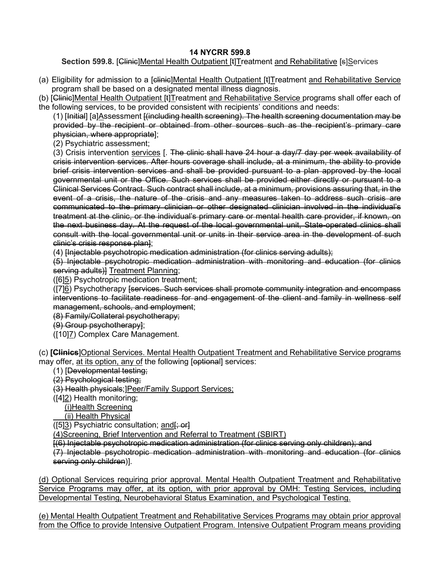# **14 NYCRR 599.8**

# **Section 599.8. [Clinic]Mental Health Outpatient [t]Treatment and Rehabilitative [s]Services**

- (a) Eligibility for admission to a [elinie]Mental Health Outpatient [t]Treatment and Rehabilitative Service program shall be based on a designated mental illness diagnosis.
- (b) [Clinie]Mental Health Outpatient [t]Treatment and Rehabilitative Service programs shall offer each of the following services, to be provided consistent with recipients' conditions and needs:

(1) [Initial] [a]Assessment [(including health screening). The health screening documentation may be provided by the recipient or obtained from other sources such as the recipient's primary care physician, where appropriate];

(2) Psychiatric assessment;

(3) Crisis intervention services [. The clinic shall have 24 hour a day/7 day per week availability of crisis intervention services. After hours coverage shall include, at a minimum, the ability to provide brief crisis intervention services and shall be provided pursuant to a plan approved by the local governmental unit or the Office. Such services shall be provided either directly or pursuant to a Clinical Services Contract. Such contract shall include, at a minimum, provisions assuring that, in the event of a crisis, the nature of the crisis and any measures taken to address such crisis are communicated to the primary clinician or other designated clinician involved in the individual's treatment at the clinic, or the individual's primary care or mental health care provider, if known, on the next business day. At the request of the local governmental unit, State-operated clinics shall consult with the local governmental unit or units in their service area in the development of such clinic's crisis response plan];

(4) [Injectable psychotropic medication administration (for clinics serving adults);

(5) Injectable psychotropic medication administration with monitoring and education (for clinics serving adults)] Treatment Planning;

([6]5) Psychotropic medication treatment;

([7]6) Psychotherapy [services. Such services shall promote community integration and encompass interventions to facilitate readiness for and engagement of the client and family in wellness self management, schools, and employment;

(8) Family/Collateral psychotherapy;

- (9) Group psychotherapy];
- ([10]7) Complex Care Management.

(c) **[Clinics**]Optional Services. Mental Health Outpatient Treatment and Rehabilitative Service programs may offer, at its option, any of the following [eptional] services:

- (1) [Developmental testing;
- (2) Psychological testing;

(3) Health physicals;]Peer/Family Support Services;

([4]2) Health monitoring;

(i)Health Screening

(ii) Health Physical

 $([5]3)$  Psychiatric consultation; and  $\frac{1}{5}$  or  $\frac{1}{5}$ 

(4)Screening, Brief Intervention and Referral to Treatment (SBIRT)

[(6) Injectable psychotropic medication administration (for clinics serving only children); and

(7) Injectable psychotropic medication administration with monitoring and education (for clinics serving only children)].

(d) Optional Services requiring prior approval. Mental Health Outpatient Treatment and Rehabilitative Service Programs may offer, at its option, with prior approval by OMH: Testing Services, including Developmental Testing, Neurobehavioral Status Examination, and Psychological Testing.

(e) Mental Health Outpatient Treatment and Rehabilitative Services Programs may obtain prior approval from the Office to provide Intensive Outpatient Program. Intensive Outpatient Program means providing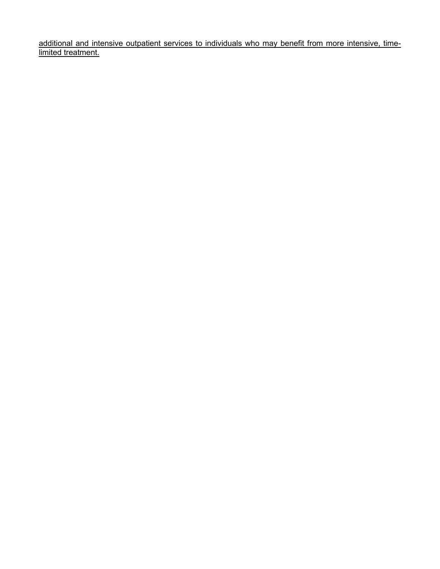additional and intensive outpatient services to individuals who may benefit from more intensive, timelimited treatment.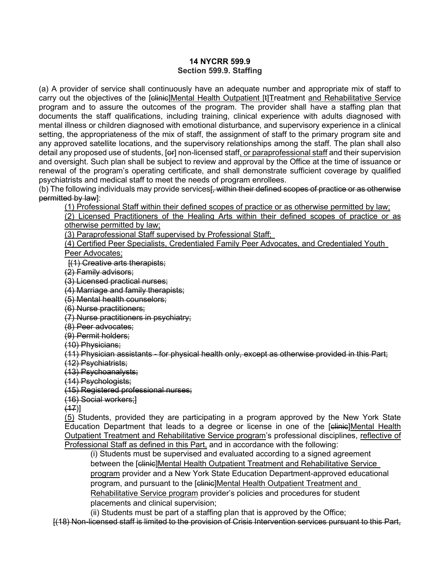### **14 NYCRR 599.9 Section 599.9. Staffing**

(a) A provider of service shall continuously have an adequate number and appropriate mix of staff to carry out the objectives of the [clinic]Mental Health Outpatient [t]Treatment and Rehabilitative Service program and to assure the outcomes of the program. The provider shall have a staffing plan that documents the staff qualifications, including training, clinical experience with adults diagnosed with mental illness or children diagnosed with emotional disturbance, and supervisory experience in a clinical setting, the appropriateness of the mix of staff, the assignment of staff to the primary program site and any approved satellite locations, and the supervisory relationships among the staff. The plan shall also detail any proposed use of students, [er] non-licensed staff, or paraprofessional staff and their supervision and oversight. Such plan shall be subject to review and approval by the Office at the time of issuance or renewal of the program's operating certificate, and shall demonstrate sufficient coverage by qualified psychiatrists and medical staff to meet the needs of program enrollees.

(b) The following individuals may provide services<del>[, within their defined scopes of practice or as otherwise</del> permitted by law]:

(1) Professional Staff within their defined scopes of practice or as otherwise permitted by law;

(2) Licensed Practitioners of the Healing Arts within their defined scopes of practice or as otherwise permitted by law;

(3) Paraprofessional Staff supervised by Professional Staff;

(4) Certified Peer Specialists, Credentialed Family Peer Advocates, and Credentialed Youth

Peer Advocates;

[(1) Creative arts therapists;

(2) Family advisors;

(3) Licensed practical nurses;

(4) Marriage and family therapists;

(5) Mental health counselors;

(6) Nurse practitioners;

(7) Nurse practitioners in psychiatry;

(8) Peer advocates;

(9) Permit holders;

(10) Physicians;

(11) Physician assistants - for physical health only, except as otherwise provided in this Part;

(12) Psychiatrists;

(13) Psychoanalysts;

 $(14)$  Psychologists:

(15) Registered professional nurses;

(16) Social workers;]

 $(17)$ ]

(5) Students, provided they are participating in a program approved by the New York State Education Department that leads to a degree or license in one of the [clinic]Mental Health Outpatient Treatment and Rehabilitative Service program's professional disciplines, reflective of Professional Staff as defined in this Part, and in accordance with the following:

(i) Students must be supervised and evaluated according to a signed agreement between the [clinic]Mental Health Outpatient Treatment and Rehabilitative Service program provider and a New York State Education Department-approved educational program, and pursuant to the [elinie]Mental Health Outpatient Treatment and Rehabilitative Service program provider's policies and procedures for student placements and clinical supervision;

(ii) Students must be part of a staffing plan that is approved by the Office;

[(18) Non-licensed staff is limited to the provision of Crisis Intervention services pursuant to this Part,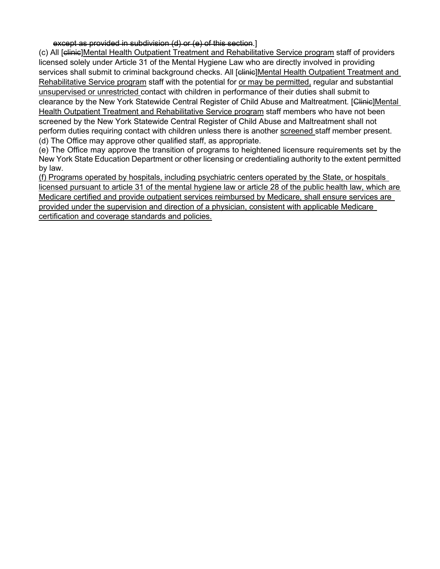except as provided in subdivision (d) or (e) of this section.]

(c) All [clinic]Mental Health Outpatient Treatment and Rehabilitative Service program staff of providers licensed solely under Article 31 of the Mental Hygiene Law who are directly involved in providing services shall submit to criminal background checks. All [clinic]Mental Health Outpatient Treatment and Rehabilitative Service program staff with the potential for or may be permitted, regular and substantial unsupervised or unrestricted contact with children in performance of their duties shall submit to clearance by the New York Statewide Central Register of Child Abuse and Maltreatment. [Clinic]Mental Health Outpatient Treatment and Rehabilitative Service program staff members who have not been screened by the New York Statewide Central Register of Child Abuse and Maltreatment shall not perform duties requiring contact with children unless there is another screened staff member present. (d) The Office may approve other qualified staff, as appropriate.

(e) The Office may approve the transition of programs to heightened licensure requirements set by the New York State Education Department or other licensing or credentialing authority to the extent permitted by law.

(f) Programs operated by hospitals, including psychiatric centers operated by the State, or hospitals licensed pursuant to article 31 of the mental hygiene law or article 28 of the public health law, which are Medicare certified and provide outpatient services reimbursed by Medicare, shall ensure services are provided under the supervision and direction of a physician, consistent with applicable Medicare certification and coverage standards and policies.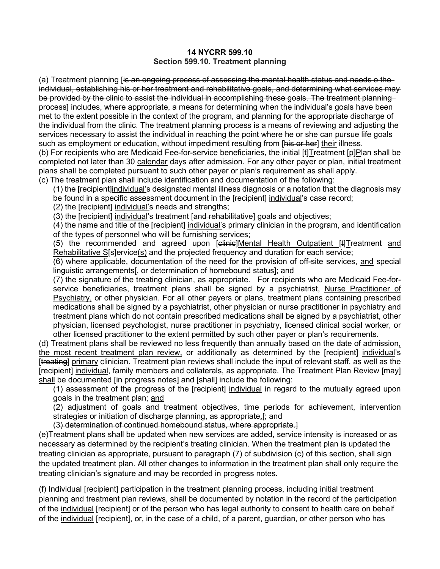### **14 NYCRR 599.10 Section 599.10. Treatment planning**

(a) Treatment planning [i<del>s an ongoing process of assessing the mental health status and needs o the</del> individual, establishing his or her treatment and rehabilitative goals, and determining what services may be provided by the clinic to assist the individual in accomplishing these goals. The treatment planning process] includes, where appropriate, a means for determining when the individual's goals have been met to the extent possible in the context of the program, and planning for the appropriate discharge of the individual from the clinic. The treatment planning process is a means of reviewing and adjusting the services necessary to assist the individual in reaching the point where he or she can pursue life goals such as employment or education, without impediment resulting from [his or her] their illness.

(b) For recipients who are Medicaid Fee-for-service beneficiaries, the initial [t]Treatment [p]Plan shall be completed not later than 30 calendar days after admission. For any other payer or plan, initial treatment plans shall be completed pursuant to such other payer or plan's requirement as shall apply.

(c) The treatment plan shall include identification and documentation of the following:

(1) the [recipient]individual's designated mental illness diagnosis or a notation that the diagnosis may be found in a specific assessment document in the [recipient] individual's case record;

(2) the [recipient] individual's needs and strengths;

(3) the [recipient] individual's treatment [and rehabilitative] goals and objectives;

(4) the name and title of the [recipient] individual's primary clinician in the program, and identification of the types of personnel who will be furnishing services;

(5) the recommended and agreed upon [clinic]Mental Health Outpatient [t]Treatment and Rehabilitative S[s]ervice(s) and the projected frequency and duration for each service;

(6) where applicable, documentation of the need for the provision of off-site services, and special linguistic arrangements[, or determination of homebound status]; and

(7) the signature of the treating clinician, as appropriate. For recipients who are Medicaid Fee-forservice beneficiaries, treatment plans shall be signed by a psychiatrist, Nurse Practitioner of Psychiatry, or other physician. For all other payers or plans, treatment plans containing prescribed medications shall be signed by a psychiatrist, other physician or nurse practitioner in psychiatry and treatment plans which do not contain prescribed medications shall be signed by a psychiatrist, other physician, licensed psychologist, nurse practitioner in psychiatry, licensed clinical social worker, or other licensed practitioner to the extent permitted by such other payer or plan's requirements.

(d) Treatment plans shall be reviewed no less frequently than annually based on the date of admission, the most recent treatment plan review, or additionally as determined by the [recipient] individual's [treating] primary clinician. Treatment plan reviews shall include the input of relevant staff, as well as the [recipient] individual, family members and collaterals, as appropriate. The Treatment Plan Review [may] shall be documented [in progress notes] and [shall] include the following:

(1) assessment of the progress of the [recipient] individual in regard to the mutually agreed upon goals in the treatment plan; and

(2) adjustment of goals and treatment objectives, time periods for achievement, intervention strategies or initiation of discharge planning, as appropriate. Figure

(3) determination of continued homebound status, where appropriate.]

(e)Treatment plans shall be updated when new services are added, service intensity is increased or as necessary as determined by the recipient's treating clinician. When the treatment plan is updated the treating clinician as appropriate, pursuant to paragraph (7) of subdivision (c) of this section, shall sign the updated treatment plan. All other changes to information in the treatment plan shall only require the treating clinician's signature and may be recorded in progress notes.

(f) Individual [recipient] participation in the treatment planning process, including initial treatment planning and treatment plan reviews, shall be documented by notation in the record of the participation of the individual [recipient] or of the person who has legal authority to consent to health care on behalf of the individual [recipient], or, in the case of a child, of a parent, guardian, or other person who has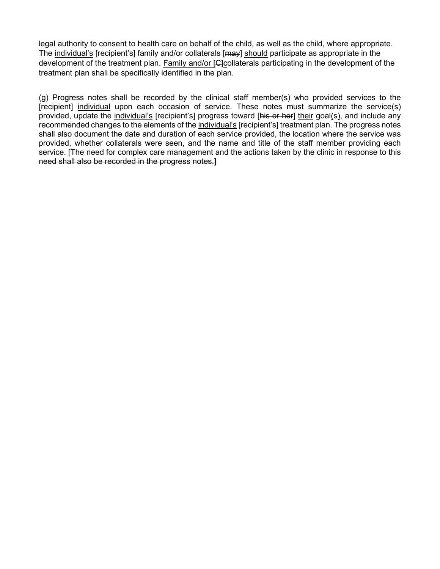legal authority to consent to health care on behalf of the child, as well as the child, where appropriate. The individual's [recipient's] family and/or collaterals [may] should participate as appropriate in the development of the treatment plan. Family and/or [G]collaterals participating in the development of the treatment plan shall be specifically identified in the plan.

(g) Progress notes shall be recorded by the clinical staff member(s) who provided services to the [recipient] individual upon each occasion of service. These notes must summarize the service(s) provided, update the individual's [recipient's] progress toward [his or her] their goal(s), and include any recommended changes to the elements of the individual's [recipient's] treatment plan. The progress notes shall also document the date and duration of each service provided, the location where the service was provided, whether collaterals were seen, and the name and title of the staff member providing each service. [The need for complex care management and the actions taken by the clinic in response to this need shall also be recorded in the progress notes.]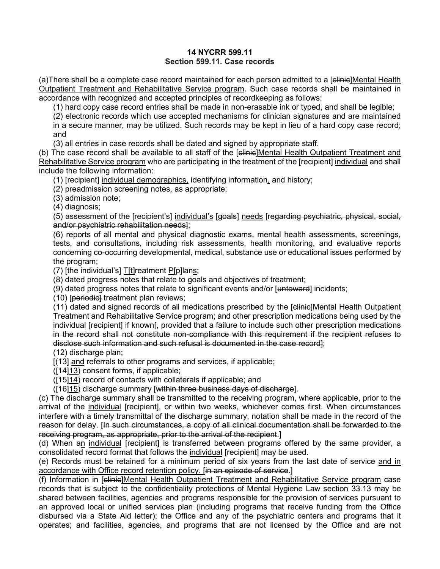## **14 NYCRR 599.11 Section 599.11. Case records**

(a)There shall be a complete case record maintained for each person admitted to a [elinie]Mental Health Outpatient Treatment and Rehabilitative Service program. Such case records shall be maintained in accordance with recognized and accepted principles of recordkeeping as follows:

(1) hard copy case record entries shall be made in non-erasable ink or typed, and shall be legible;

(2) electronic records which use accepted mechanisms for clinician signatures and are maintained in a secure manner, may be utilized. Such records may be kept in lieu of a hard copy case record; and

(3) all entries in case records shall be dated and signed by appropriate staff.

(b) The case record shall be available to all staff of the [clinic]Mental Health Outpatient Treatment and Rehabilitative Service program who are participating in the treatment of the [recipient] individual and shall include the following information:

(1) [recipient] individual demographics, identifying information, and history;

(2) preadmission screening notes, as appropriate;

(3) admission note;

(4) diagnosis;

(5) assessment of the [recipient's] individual's [goals] needs [regarding psychiatric, physical, social, and/or psychiatric rehabilitation needs];

(6) reports of all mental and physical diagnostic exams, mental health assessments, screenings, tests, and consultations, including risk assessments, health monitoring, and evaluative reports concerning co-occurring developmental, medical, substance use or educational issues performed by the program;

(7) [the individual's] T[t]reatment P[p]lans;

(8) dated progress notes that relate to goals and objectives of treatment;

(9) dated progress notes that relate to significant events and/or  $[$ untoward $]$  incidents;

(10) [periodic] treatment plan reviews;

(11) dated and signed records of all medications prescribed by the [clinic]Mental Health Outpatient Treatment and Rehabilitative Service program; and other prescription medications being used by the individual [recipient] if known[, provided that a failure to include such other prescription medications in the record shall not constitute non-compliance with this requirement if the recipient refuses to disclose such information and such refusal is documented in the case record];

(12) discharge plan;

[(13] and referrals to other programs and services, if applicable;

([14]13) consent forms, if applicable;

([15]14) record of contacts with collaterals if applicable; and

([16]15) discharge summary [within three business days of discharge].

(c) The discharge summary shall be transmitted to the receiving program, where applicable, prior to the arrival of the individual [recipient], or within two weeks, whichever comes first. When circumstances interfere with a timely transmittal of the discharge summary, notation shall be made in the record of the reason for delay. [In such circumstances, a copy of all clinical documentation shall be forwarded to the receiving program, as appropriate, prior to the arrival of the recipient.]

(d) When an individual [recipient] is transferred between programs offered by the same provider, a consolidated record format that follows the individual [recipient] may be used.

(e) Records must be retained for a minimum period of six years from the last date of service and in accordance with Office record retention policy. [in an episode of service.]

(f) Information in [clinic]Mental Health Outpatient Treatment and Rehabilitative Service program case records that is subject to the confidentiality protections of [Mental Hygiene Law section 33.13](http://www.westlaw.com/Link/Document/FullText?findType=L&pubNum=1000105&cite=NYMHS33.13&originatingDoc=IB671FA708EFC11DFADEE87BBF9B0B2E2&refType=LQ&originationContext=document&vr=3.0&rs=cblt1.0&transitionType=DocumentItem&contextData=(sc.Default)) may be shared between facilities, agencies and programs responsible for the provision of services pursuant to an approved local or unified services plan (including programs that receive funding from the Office disbursed via a State Aid letter); the Office and any of the psychiatric centers and programs that it operates; and facilities, agencies, and programs that are not licensed by the Office and are not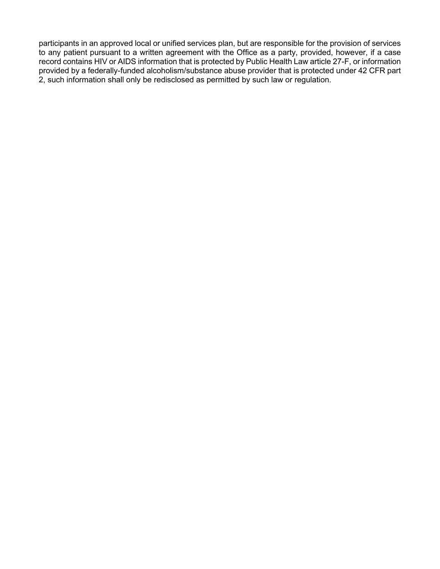participants in an approved local or unified services plan, but are responsible for the provision of services to any patient pursuant to a written agreement with the Office as a party, provided, however, if a case record contains HIV or AIDS information that is protected by Public Health Law article 27-F, or information provided by a federally-funded alcoholism/substance abuse provider that is protected under 42 CFR part 2, such information shall only be redisclosed as permitted by such law or regulation.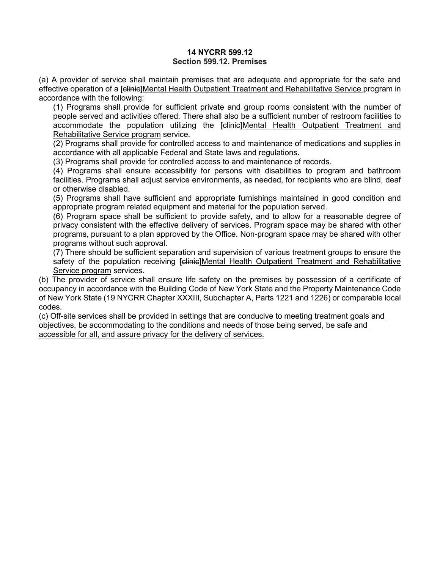### **14 NYCRR 599.12 Section 599.12. Premises**

(a) A provider of service shall maintain premises that are adequate and appropriate for the safe and effective operation of a [elinic]Mental Health Outpatient Treatment and Rehabilitative Service program in accordance with the following:

(1) Programs shall provide for sufficient private and group rooms consistent with the number of people served and activities offered. There shall also be a sufficient number of restroom facilities to accommodate the population utilizing the [clinic]Mental Health Outpatient Treatment and Rehabilitative Service program service.

(2) Programs shall provide for controlled access to and maintenance of medications and supplies in accordance with all applicable Federal and State laws and regulations.

(3) Programs shall provide for controlled access to and maintenance of records.

(4) Programs shall ensure accessibility for persons with disabilities to program and bathroom facilities. Programs shall adjust service environments, as needed, for recipients who are blind, deaf or otherwise disabled.

(5) Programs shall have sufficient and appropriate furnishings maintained in good condition and appropriate program related equipment and material for the population served.

(6) Program space shall be sufficient to provide safety, and to allow for a reasonable degree of privacy consistent with the effective delivery of services. Program space may be shared with other programs, pursuant to a plan approved by the Office. Non-program space may be shared with other programs without such approval.

(7) There should be sufficient separation and supervision of various treatment groups to ensure the safety of the population receiving [clinic]Mental Health Outpatient Treatment and Rehabilitative Service program services.

(b) The provider of service shall ensure life safety on the premises by possession of a certificate of occupancy in accordance with the Building Code of New York State and the Property Maintenance Code of New York State (19 NYCRR Chapter XXXIII, Subchapter A, Parts 1221 and 1226) or comparable local codes.

(c) Off-site services shall be provided in settings that are conducive to meeting treatment goals and objectives, be accommodating to the conditions and needs of those being served, be safe and accessible for all, and assure privacy for the delivery of services.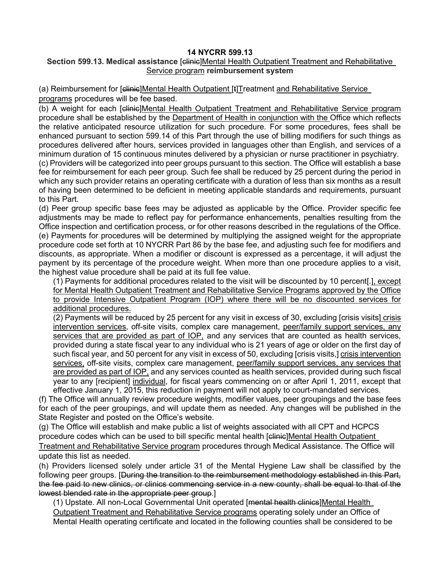## **14 NYCRR 599.13**

## **Section 599.13. Medical assistance [clinic]Mental Health Outpatient Treatment and Rehabilitative** Service program **reimbursement system**

(a) Reimbursement for [<del>clinic</del>]Mental Health Outpatient [t]Treatment and Rehabilitative Service programs procedures will be fee based.

(b) A weight for each [clinic]Mental Health Outpatient Treatment and Rehabilitative Service program procedure shall be established by the Department of Health in conjunction with the Office which reflects the relative anticipated resource utilization for such procedure. For some procedures, fees shall be enhanced pursuant to section 599.14 of this Part through the use of billing modifiers for such things as procedures delivered after hours, services provided in languages other than English, and services of a minimum duration of 15 continuous minutes delivered by a physician or nurse practitioner in psychiatry. (c) Providers will be categorized into peer groups pursuant to this section. The Office will establish a base fee for reimbursement for each peer group. Such fee shall be reduced by 25 percent during the period in which any such provider retains an operating certificate with a duration of less than six months as a result of having been determined to be deficient in meeting applicable standards and requirements, pursuant to this Part.

(d) Peer group specific base fees may be adjusted as applicable by the Office. Provider specific fee adjustments may be made to reflect pay for performance enhancements, penalties resulting from the Office inspection and certification process, or for other reasons described in the regulations of the Office. (e) Payments for procedures will be determined by multiplying the assigned weight for the appropriate procedure code set forth at 10 NYCRR Part 86 by the base fee, and adjusting such fee for modifiers and discounts, as appropriate. When a modifier or discount is expressed as a percentage, it will adjust the payment by its percentage of the procedure weight. When more than one procedure applies to a visit, the highest value procedure shall be paid at its full fee value.

(1) Payments for additional procedures related to the visit will be discounted by 10 percent[.], except for Mental Health Outpatient Treatment and Rehabilitative Service Programs approved by the Office to provide Intensive Outpatient Program (IOP) where there will be no discounted services for additional procedures.

(2) Payments will be reduced by 25 percent for any visit in excess of 30, excluding [crisis visits] crisis intervention services, off-site visits, complex care management, peer/family support services, any services that are provided as part of IOP, and any services that are counted as health services, provided during a state fiscal year to any individual who is 21 years of age or older on the first day of such fiscal year, and 50 percent for any visit in excess of 50, excluding [crisis visits,] crisis intervention services, off-site visits, complex care management, peer/family support services, any services that are provided as part of IOP, and any services counted as health services, provided during such fiscal year to any [recipient] individual, for fiscal years commencing on or after April 1, 2011, except that effective January 1, 2015, this reduction in payment will not apply to court-mandated services.

(f) The Office will annually review procedure weights, modifier values, peer groupings and the base fees for each of the peer groupings, and will update them as needed. Any changes will be published in the State Register and posted on the Office's website.

(g) The Office will establish and make public a list of weights associated with all CPT and HCPCS procedure codes which can be used to bill specific mental health [clinic]Mental Health Outpatient Treatment and Rehabilitative Service program procedures through Medical Assistance. The Office will update this list as needed.

(h) Providers licensed solely under article 31 of the Mental Hygiene Law shall be classified by the following peer groups. [During the transition to the reimbursement methodology established in this Part, the fee paid to new clinics, or clinics commencing service in a new county, shall be equal to that of the lowest blended rate in the appropriate peer group.]

(1) Upstate. All non-Local Governmental Unit operated [mental health clinics]Mental Health Outpatient Treatment and Rehabilitative Service programs operating solely under an Office of Mental Health operating certificate and located in the following counties shall be considered to be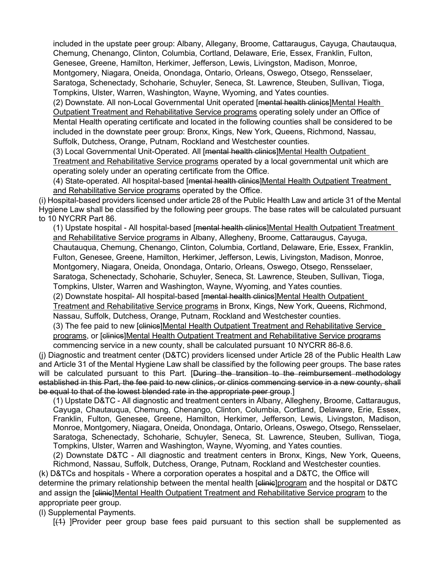included in the upstate peer group: Albany, Allegany, Broome, Cattaraugus, Cayuga, Chautauqua, Chemung, Chenango, Clinton, Columbia, Cortland, Delaware, Erie, Essex, Franklin, Fulton, Genesee, Greene, Hamilton, Herkimer, Jefferson, Lewis, Livingston, Madison, Monroe, Montgomery, Niagara, Oneida, Onondaga, Ontario, Orleans, Oswego, Otsego, Rensselaer, Saratoga, Schenectady, Schoharie, Schuyler, Seneca, St. Lawrence, Steuben, Sullivan, Tioga, Tompkins, Ulster, Warren, Washington, Wayne, Wyoming, and Yates counties.

(2) Downstate. All non-Local Governmental Unit operated [mental health clinics]Mental Health Outpatient Treatment and Rehabilitative Service programs operating solely under an Office of Mental Health operating certificate and located in the following counties shall be considered to be included in the downstate peer group: Bronx, Kings, New York, Queens, Richmond, Nassau, Suffolk, Dutchess, Orange, Putnam, Rockland and Westchester counties.

(3) Local Governmental Unit-Operated. All [mental health clinics]Mental Health Outpatient Treatment and Rehabilitative Service programs operated by a local governmental unit which are operating solely under an operating certificate from the Office.

(4) State-operated. All hospital-based [mental health clinics]Mental Health Outpatient Treatment and Rehabilitative Service programs operated by the Office.

(i) Hospital-based providers licensed under article 28 of the Public Health Law and article 31 of the Mental Hygiene Law shall be classified by the following peer groups. The base rates will be calculated pursuant to 10 NYCRR Part 86.

(1) Upstate hospital - All hospital-based [mental health clinics]Mental Health Outpatient Treatment and Rehabilitative Service programs in Albany, Allegheny, Broome, Cattaraugus, Cayuga, Chautauqua, Chemung, Chenango, Clinton, Columbia, Cortland, Delaware, Erie, Essex, Franklin, Fulton, Genesee, Greene, Hamilton, Herkimer, Jefferson, Lewis, Livingston, Madison, Monroe, Montgomery, Niagara, Oneida, Onondaga, Ontario, Orleans, Oswego, Otsego, Rensselaer, Saratoga, Schenectady, Schoharie, Schuyler, Seneca, St. Lawrence, Steuben, Sullivan, Tioga, Tompkins, Ulster, Warren and Washington, Wayne, Wyoming, and Yates counties.

(2) Downstate hospital- All hospital-based [mental health clinics]Mental Health Outpatient Treatment and Rehabilitative Service programs in Bronx, Kings, New York, Queens, Richmond, Nassau, Suffolk, Dutchess, Orange, Putnam, Rockland and Westchester counties.

(3) The fee paid to new [elinies]Mental Health Outpatient Treatment and Rehabilitative Service programs, or [clinics]Mental Health Outpatient Treatment and Rehabilitative Service programs commencing service in a new county, shall be calculated pursuant [10 NYCRR 86-8.6.](http://www.westlaw.com/Link/Document/FullText?findType=L&pubNum=1013028&cite=10NYADC86-8.6&originatingDoc=I6E280E00D8B011E490D9D236A5717956&refType=VP&originationContext=document&vr=3.0&rs=cblt1.0&transitionType=DocumentItem&contextData=(sc.Default))

(j) Diagnostic and treatment center (D&TC) providers licensed under Article 28 of the Public Health Law and Article 31 of the Mental Hygiene Law shall be classified by the following peer groups. The base rates will be calculated pursuant to this Part. [During the transition to the reimbursement methodology established in this Part, the fee paid to new clinics, or clinics commencing service in a new county, shall be equal to that of the lowest blended rate in the appropriate peer group.]

(1) Upstate D&TC - All diagnostic and treatment centers in Albany, Allegheny, Broome, Cattaraugus, Cayuga, Chautauqua, Chemung, Chenango, Clinton, Columbia, Cortland, Delaware, Erie, Essex, Franklin, Fulton, Genesee, Greene, Hamilton, Herkimer, Jefferson, Lewis, Livingston, Madison, Monroe, Montgomery, Niagara, Oneida, Onondaga, Ontario, Orleans, Oswego, Otsego, Rensselaer, Saratoga, Schenectady, Schoharie, Schuyler, Seneca, St. Lawrence, Steuben, Sullivan, Tioga, Tompkins, Ulster, Warren and Washington, Wayne, Wyoming, and Yates counties.

(2) Downstate D&TC - All diagnostic and treatment centers in Bronx, Kings, New York, Queens, Richmond, Nassau, Suffolk, Dutchess, Orange, Putnam, Rockland and Westchester counties.

(k) D&TCs and hospitals - Where a corporation operates a hospital and a D&TC, the Office will determine the primary relationship between the mental health [elinic]program and the hospital or D&TC and assign the [elinic]Mental Health Outpatient Treatment and Rehabilitative Service program to the appropriate peer group.

(l) Supplemental Payments.

[(1) ]Provider peer group base fees paid pursuant to this section shall be supplemented as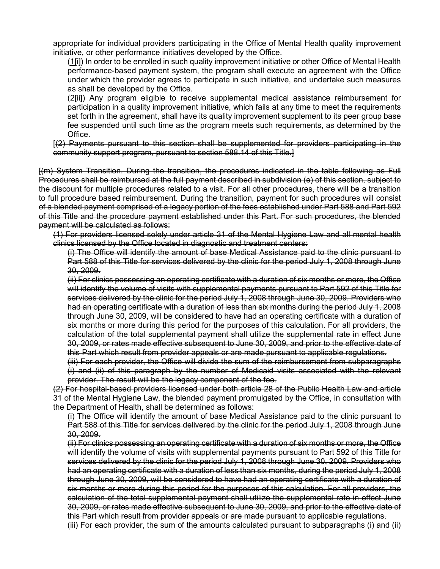appropriate for individual providers participating in the Office of Mental Health quality improvement initiative, or other performance initiatives developed by the Office.

(1[i]) In order to be enrolled in such quality improvement initiative or other Office of Mental Health performance-based payment system, the program shall execute an agreement with the Office under which the provider agrees to participate in such initiative, and undertake such measures as shall be developed by the Office.

(2[ii]) Any program eligible to receive supplemental medical assistance reimbursement for participation in a quality improvement initiative, which fails at any time to meet the requirements set forth in the agreement, shall have its quality improvement supplement to its peer group base fee suspended until such time as the program meets such requirements, as determined by the Office.

[(2) Payments pursuant to this section shall be supplemented for providers participating in the community support program, pursuant to section 588.14 of this Title.]

[(m) System Transition. During the transition, the procedures indicated in the table following as Full Procedures shall be reimbursed at the full payment described in subdivision (e) of this section, subject to the discount for multiple procedures related to a visit. For all other procedures, there will be a transition to full procedure based reimbursement. During the transition, payment for such procedures will consist of a blended payment comprised of a legacy portion of the fees established under Part 588 and Part 592 of this Title and the procedure payment established under this Part. For such procedures, the blended payment will be calculated as follows:

(1) For providers licensed solely under article 31 of the Mental Hygiene Law and all mental health clinics licensed by the Office located in diagnostic and treatment centers:

(i) The Office will identify the amount of base Medical Assistance paid to the clinic pursuant to Part 588 of this Title for services delivered by the clinic for the period July 1, 2008 through June 30, 2009.

(ii) For clinics possessing an operating certificate with a duration of six months or more, the Office will identify the volume of visits with supplemental payments pursuant to Part 592 of this Title for services delivered by the clinic for the period July 1, 2008 through June 30, 2009. Providers who had an operating certificate with a duration of less than six months during the period July 1, 2008 through June 30, 2009, will be considered to have had an operating certificate with a duration of six months or more during this period for the purposes of this calculation. For all providers, the calculation of the total supplemental payment shall utilize the supplemental rate in effect June 30, 2009, or rates made effective subsequent to June 30, 2009, and prior to the effective date of this Part which result from provider appeals or are made pursuant to applicable regulations.

(iii) For each provider, the Office will divide the sum of the reimbursement from subparagraphs (i) and (ii) of this paragraph by the number of Medicaid visits associated with the relevant provider. The result will be the legacy component of the fee.

(2) For hospital-based providers licensed under both article 28 of the Public Health Law and article 31 of the Mental Hygiene Law, the blended payment promulgated by the Office, in consultation with the Department of Health, shall be determined as follows:

(i) The Office will identify the amount of base Medical Assistance paid to the clinic pursuant to Part 588 of this Title for services delivered by the clinic for the period July 1, 2008 through June 30, 2009.

(ii) For clinics possessing an operating certificate with a duration of six months or more, the Office will identify the volume of visits with supplemental payments pursuant to Part 592 of this Title for services delivered by the clinic for the period July 1, 2008 through June 30, 2009. Providers who had an operating certificate with a duration of less than six months, during the period July 1, 2008 through June 30, 2009, will be considered to have had an operating certificate with a duration of six months or more during this period for the purposes of this calculation. For all providers, the calculation of the total supplemental payment shall utilize the supplemental rate in effect June 30, 2009, or rates made effective subsequent to June 30, 2009, and prior to the effective date of this Part which result from provider appeals or are made pursuant to applicable regulations.

(iii) For each provider, the sum of the amounts calculated pursuant to subparagraphs (i) and (ii)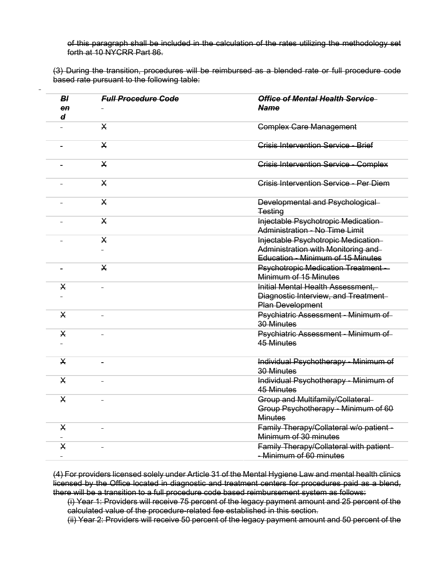of this paragraph shall be included in the calculation of the rates utilizing the methodology set forth at 10 NYCRR Part 86.

(3) During the transition, procedures will be reimbursed as a blended rate or full procedure code based rate pursuant to the following table:

 $\ddot{\phantom{a}}$ 

| BI<br>e <sub>n</sub><br>$\boldsymbol{d}$ | <b>Full Procedure Code</b> | <b>Office of Mental Health Service</b><br><b>Name</b>                                                                  |
|------------------------------------------|----------------------------|------------------------------------------------------------------------------------------------------------------------|
|                                          | $\mathsf{X}$               | <b>Complex Care Management</b>                                                                                         |
|                                          | $\times$                   | Crisis Intervention Service - Brief                                                                                    |
|                                          | $\mathsf{X}$               | <b>Crisis Intervention Service - Complex</b>                                                                           |
|                                          | $\times$                   | Crisis Intervention Service - Per Diem                                                                                 |
|                                          | $\times$                   | Developmental and Psychological<br><b>Testing</b>                                                                      |
|                                          | X                          | Injectable Psychotropic Medication-<br>Administration - No Time Limit                                                  |
|                                          | $\mathsf{X}$               | Injectable Psychotropic Medication-<br>Administration with Monitoring and-<br><b>Education - Minimum of 15 Minutes</b> |
|                                          | $\mathsf{X}$               | <b>Psychotropic Medication Treatment --</b><br>Minimum of 15 Minutes                                                   |
| X                                        |                            | Initial Mental Health Assessment,<br>Diagnostic Interview, and Treatment-<br><b>Plan Development</b>                   |
| $\mathsf{X}$                             |                            | Psychiatric Assessment - Minimum of<br><b>30 Minutes</b>                                                               |
| $\mathsf{X}$                             |                            | Psychiatric Assessment - Minimum of<br>45 Minutes                                                                      |
| $\mathsf{X}$                             |                            | Individual Psychotherapy - Minimum of<br><b>30 Minutes</b>                                                             |
| $\mathsf{X}$                             |                            | Individual Psychotherapy - Minimum of<br>45 Minutes                                                                    |
| $\mathsf{X}$                             |                            | Group and Multifamily/Collateral<br>Group Psychotherapy - Minimum of 60<br><b>Minutes</b>                              |
| $\sf X$                                  |                            | Family Therapy/Collateral w/o patient-<br>Minimum of 30 minutes                                                        |
| $\mathsf{X}$                             |                            | Family Therapy/Collateral with patient-<br>- Minimum of 60 minutes                                                     |

(4) For providers licensed solely under Article 31 of the Mental Hygiene Law and mental health clinics licensed by the Office located in diagnostic and treatment centers for procedures paid as a blend, there will be a transition to a full procedure code based reimbursement system as follows:

(i) Year 1: Providers will receive 75 percent of the legacy payment amount and 25 percent of the calculated value of the procedure-related fee established in this section.

(ii) Year 2: Providers will receive 50 percent of the legacy payment amount and 50 percent of the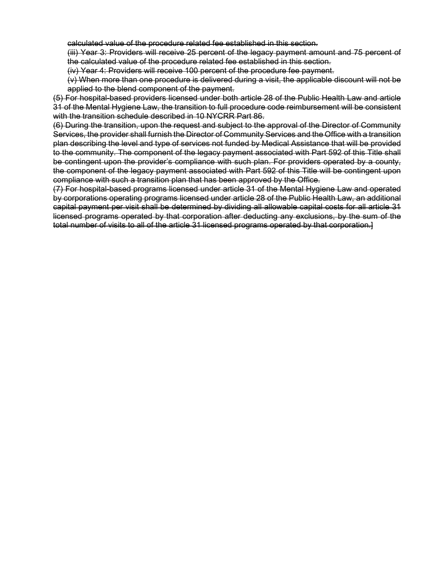calculated value of the procedure related fee established in this section.

(iii) Year 3: Providers will receive 25 percent of the legacy payment amount and 75 percent of the calculated value of the procedure related fee established in this section.

(iv) Year 4: Providers will receive 100 percent of the procedure fee payment.

(v) When more than one procedure is delivered during a visit, the applicable discount will not be applied to the blend component of the payment.

(5) For hospital-based providers licensed under both article 28 of the Public Health Law and article 31 of the Mental Hygiene Law, the transition to full procedure code reimbursement will be consistent with the transition schedule described in 10 NYCRR Part 86.

(6) During the transition, upon the request and subject to the approval of the Director of Community Services, the provider shall furnish the Director of Community Services and the Office with a transition plan describing the level and type of services not funded by Medical Assistance that will be provided to the community. The component of the legacy payment associated with Part 592 of this Title shall be contingent upon the provider's compliance with such plan. For providers operated by a county, the component of the legacy payment associated with Part 592 of this Title will be contingent upon compliance with such a transition plan that has been approved by the Office.

(7) For hospital-based programs licensed under article 31 of the Mental Hygiene Law and operated by corporations operating programs licensed under article 28 of the Public Health Law, an additional capital payment per visit shall be determined by dividing all allowable capital costs for all article 31 licensed programs operated by that corporation after deducting any exclusions, by the sum of the total number of visits to all of the article 31 licensed programs operated by that corporation.]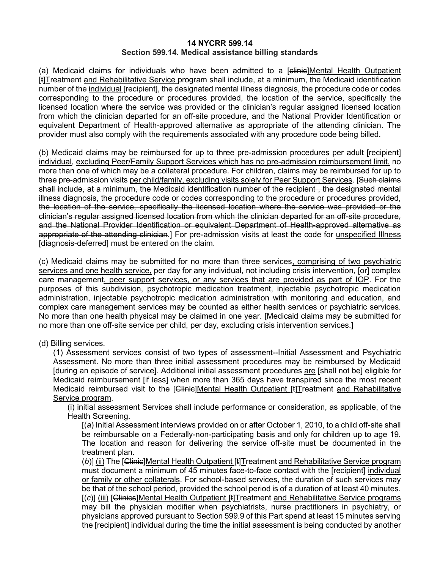#### **14 NYCRR 599.14 Section 599.14. Medical assistance billing standards**

(a) Medicaid claims for individuals who have been admitted to a [clinic]Mental Health Outpatient [t]Treatment and Rehabilitative Service program shall include, at a minimum, the Medicaid identification number of the individual [recipient], the designated mental illness diagnosis, the procedure code or codes corresponding to the procedure or procedures provided, the location of the service, specifically the licensed location where the service was provided or the clinician's regular assigned licensed location from which the clinician departed for an off-site procedure, and the National Provider Identification or equivalent Department of Health-approved alternative as appropriate of the attending clinician. The provider must also comply with the requirements associated with any procedure code being billed.

(b) Medicaid claims may be reimbursed for up to three pre-admission procedures per adult [recipient] individual, excluding Peer/Family Support Services which has no pre-admission reimbursement limit, no more than one of which may be a collateral procedure. For children, claims may be reimbursed for up to three pre-admission visits per child/family, excluding visits solely for Peer Support Services. [Such claims] shall include, at a minimum, the Medicaid identification number of the recipient , the designated mental illness diagnosis, the procedure code or codes corresponding to the procedure or procedures provided, the location of the service, specifically the licensed location where the service was provided or the clinician's regular assigned licensed location from which the clinician departed for an off-site procedure, and the National Provider Identification or equivalent Department of Health-approved alternative as appropriate of the attending clinician.] For pre-admission visits at least the code for unspecified Illness [diagnosis-deferred] must be entered on the claim.

(c) Medicaid claims may be submitted for no more than three services, comprising of two psychiatric services and one health service, per day for any individual, not including crisis intervention, [or] complex care management, peer support services, or any services that are provided as part of IOP. For the purposes of this subdivision, psychotropic medication treatment, injectable psychotropic medication administration, injectable psychotropic medication administration with monitoring and education, and complex care management services may be counted as either health services or psychiatric services. No more than one health physical may be claimed in one year. [Medicaid claims may be submitted for no more than one off-site service per child, per day, excluding crisis intervention services.]

#### (d) Billing services.

(1) Assessment services consist of two types of assessment--Initial Assessment and Psychiatric Assessment. No more than three initial assessment procedures may be reimbursed by Medicaid [during an episode of service]. Additional initial assessment procedures are [shall not be] eligible for Medicaid reimbursement [if less] when more than 365 days have transpired since the most recent Medicaid reimbursed visit to the [Clinic]Mental Health Outpatient [t]Treatment and Rehabilitative Service program.

(i) initial assessment Services shall include performance or consideration, as applicable, of the Health Screening.

[(*a*) Initial Assessment interviews provided on or after October 1, 2010, to a child off-site shall be reimbursable on a Federally-non-participating basis and only for children up to age 19. The location and reason for delivering the service off-site must be documented in the treatment plan.

(b)] (ii) The [Clinic]Mental Health Outpatient [t]Treatment and Rehabilitative Service program must document a minimum of 45 minutes face-to-face contact with the [recipient] individual or family or other collaterals. For school-based services, the duration of such services may be that of the school period, provided the school period is of a duration of at least 40 minutes. [(c)] (iii) [Clinics]Mental Health Outpatient [t]Treatment and Rehabilitative Service programs may bill the physician modifier when psychiatrists, nurse practitioners in psychiatry, or physicians approved pursuant to Section 599.9 of this Part spend at least 15 minutes serving the [recipient] individual during the time the initial assessment is being conducted by another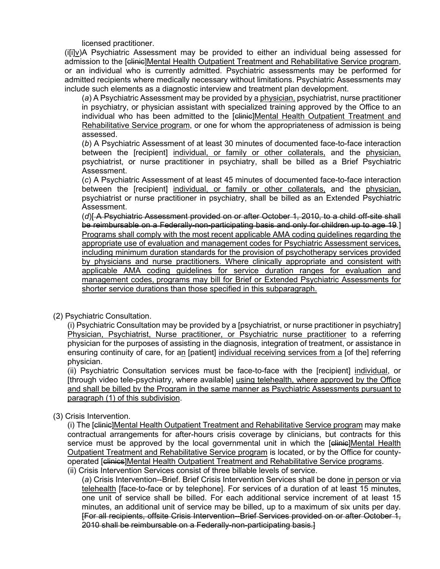licensed practitioner.

(i[i]v)A Psychiatric Assessment may be provided to either an individual being assessed for admission to the [elinic]Mental Health Outpatient Treatment and Rehabilitative Service program, or an individual who is currently admitted. Psychiatric assessments may be performed for admitted recipients where medically necessary without limitations. Psychiatric Assessments may include such elements as a diagnostic interview and treatment plan development.

(*a*) A Psychiatric Assessment may be provided by a physician, psychiatrist, nurse practitioner in psychiatry, or physician assistant with specialized training approved by the Office to an individual who has been admitted to the [clinic]Mental Health Outpatient Treatment and Rehabilitative Service program, or one for whom the appropriateness of admission is being assessed.

(*b*) A Psychiatric Assessment of at least 30 minutes of documented face-to-face interaction between the [recipient] individual, or family or other collaterals, and the physician, psychiatrist, or nurse practitioner in psychiatry, shall be billed as a Brief Psychiatric Assessment.

(*c*) A Psychiatric Assessment of at least 45 minutes of documented face-to-face interaction between the [recipient] individual, or family or other collaterals, and the physician, psychiatrist or nurse practitioner in psychiatry, shall be billed as an Extended Psychiatric Assessment.

(*d*)[ A Psychiatric Assessment provided on or after October 1, 2010, to a child off-site shall be reimbursable on a Federally-non-participating basis and only for children up to age 19.] Programs shall comply with the most recent applicable AMA coding guidelines regarding the appropriate use of evaluation and management codes for Psychiatric Assessment services, including minimum duration standards for the provision of psychotherapy services provided by physicians and nurse practitioners. Where clinically appropriate and consistent with applicable AMA coding guidelines for service duration ranges for evaluation and management codes, programs may bill for Brief or Extended Psychiatric Assessments for shorter service durations than those specified in this subparagraph.

(2) Psychiatric Consultation.

(i) Psychiatric Consultation may be provided by a [psychiatrist, or nurse practitioner in psychiatry] Physician, Psychiatrist, Nurse practitioner, or Psychiatric nurse practitioner to a referring physician for the purposes of assisting in the diagnosis, integration of treatment, or assistance in ensuring continuity of care, for an [patient] individual receiving services from a [of the] referring physician.

(ii) Psychiatric Consultation services must be face-to-face with the [recipient] individual, or [through video tele-psychiatry, where available] using telehealth, where approved by the Office and shall be billed by the Program in the same manner as Psychiatric Assessments pursuant to paragraph (1) of this subdivision.

(3) Crisis Intervention.

(i) The [clinic]Mental Health Outpatient Treatment and Rehabilitative Service program may make contractual arrangements for after-hours crisis coverage by clinicians, but contracts for this service must be approved by the local governmental unit in which the [elinie]Mental Health Outpatient Treatment and Rehabilitative Service program is located, or by the Office for countyoperated [clinics]Mental Health Outpatient Treatment and Rehabilitative Service programs. (ii) Crisis Intervention Services consist of three billable levels of service.

(*a*) Crisis Intervention--Brief. Brief Crisis Intervention Services shall be done in person or via telehealth [face-to-face or by telephone]. For services of a duration of at least 15 minutes, one unit of service shall be billed. For each additional service increment of at least 15 minutes, an additional unit of service may be billed, up to a maximum of six units per day. [For all recipients, offsite Crisis Intervention--Brief Services provided on or after October 1, 2010 shall be reimbursable on a Federally-non-participating basis.]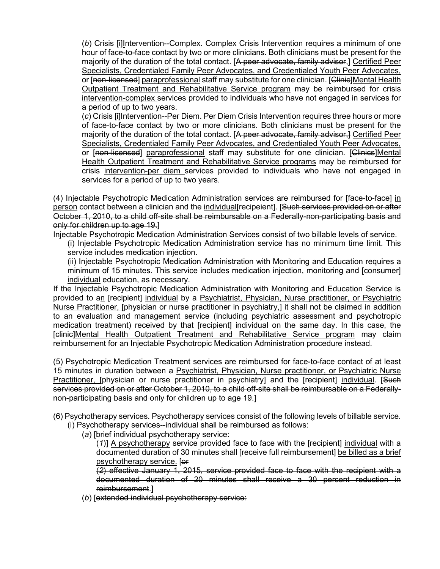(*b*) Crisis [i]Intervention--Complex. Complex Crisis Intervention requires a minimum of one hour of face-to-face contact by two or more clinicians. Both clinicians must be present for the majority of the duration of the total contact. [A peer advocate, family advisor,] Certified Peer Specialists, Credentialed Family Peer Advocates, and Credentialed Youth Peer Advocates, or [non-licensed] paraprofessional staff may substitute for one clinician. [Clinic]Mental Health Outpatient Treatment and Rehabilitative Service program may be reimbursed for crisis intervention-complex services provided to individuals who have not engaged in services for a period of up to two years.

(*c*) Crisis [i]Intervention--Per Diem. Per Diem Crisis Intervention requires three hours or more of face-to-face contact by two or more clinicians. Both clinicians must be present for the majority of the duration of the total contact. [A peer advocate, family advisor,] Certified Peer Specialists, Credentialed Family Peer Advocates, and Credentialed Youth Peer Advocates, or [non-licensed] paraprofessional staff may substitute for one clinician. [Clinics]Mental Health Outpatient Treatment and Rehabilitative Service programs may be reimbursed for crisis intervention-per diem services provided to individuals who have not engaged in services for a period of up to two years.

(4) Injectable Psychotropic Medication Administration services are reimbursed for [face-to-face] in person contact between a clinician and the individual[recipeient]. [Such services provided on or after October 1, 2010, to a child off-site shall be reimbursable on a Federally-non-participating basis and only for children up to age 19.]

Injectable Psychotropic Medication Administration Services consist of two billable levels of service.

(i) Injectable Psychotropic Medication Administration service has no minimum time limit. This service includes medication injection.

(ii) Injectable Psychotropic Medication Administration with Monitoring and Education requires a minimum of 15 minutes. This service includes medication injection, monitoring and [consumer] individual education, as necessary.

If the Injectable Psychotropic Medication Administration with Monitoring and Education Service is provided to an [recipient] individual by a Psychiatrist, Physician, Nurse practitioner, or Psychiatric Nurse Practitioner, [physician or nurse practitioner in psychiatry,] it shall not be claimed in addition to an evaluation and management service (including psychiatric assessment and psychotropic medication treatment) received by that [recipient] individual on the same day. In this case, the [clinic]Mental Health Outpatient Treatment and Rehabilitative Service program may claim reimbursement for an Injectable Psychotropic Medication Administration procedure instead.

(5) Psychotropic Medication Treatment services are reimbursed for face-to-face contact of at least 15 minutes in duration between a Psychiatrist, Physician, Nurse practitioner, or Psychiatric Nurse Practitioner, [physician or nurse practitioner in psychiatry] and the [recipient] individual. [Such services provided on or after October 1, 2010, to a child off-site shall be reimbursable on a Federallynon-participating basis and only for children up to age 19.]

(6) Psychotherapy services. Psychotherapy services consist of the following levels of billable service.

- (i) Psychotherapy services--individual shall be reimbursed as follows:
	- (*a*) [brief individual psychotherapy service:

(*1*)] A psychotherapy service provided face to face with the [recipient] individual with a documented duration of 30 minutes shall [receive full reimbursement] be billed as a brief psychotherapy service. [or

(*2*) effective January 1, 2015, service provided face to face with the recipient with a documented duration of 20 minutes shall receive a 30 percent reduction in reimbursement.]

(*b*) [extended individual psychotherapy service: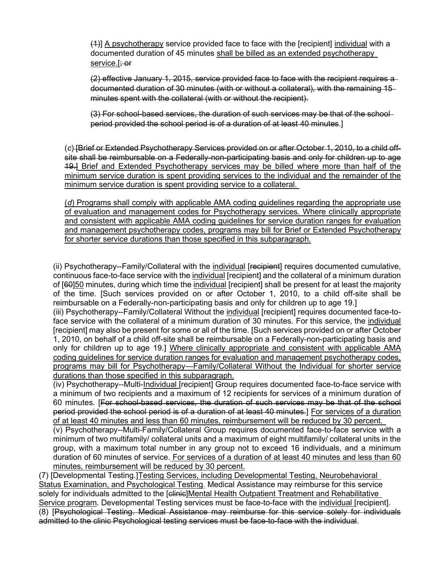(4)] A psychotherapy service provided face to face with the [recipient] individual with a documented duration of 45 minutes shall be billed as an extended psychotherapy service.[; or

(2) effective January 1, 2015, service provided face to face with the recipient requires a documented duration of 30 minutes (with or without a collateral), with the remaining 15 minutes spent with the collateral (with or without the recipient).

(3) For school-based services, the duration of such services may be that of the school period provided the school period is of a duration of at least 40 minutes.]

(*c*) [Brief or Extended Psychotherapy Services provided on or after October 1, 2010, to a child offsite shall be reimbursable on a Federally-non-participating basis and only for children up to age 19.] Brief and Extended Psychotherapy services may be billed where more than half of the minimum service duration is spent providing services to the individual and the remainder of the minimum service duration is spent providing service to a collateral.

(*d*) Programs shall comply with applicable AMA coding guidelines regarding the appropriate use of evaluation and management codes for Psychotherapy services. Where clinically appropriate and consistent with applicable AMA coding guidelines for service duration ranges for evaluation and management psychotherapy codes, programs may bill for Brief or Extended Psychotherapy for shorter service durations than those specified in this subparagraph.

(ii) Psychotherapy--Family/Collateral with the individual [recipient] requires documented cumulative, continuous face-to-face service with the individual [recipient] and the collateral of a minimum duration of [60]50 minutes, during which time the individual [recipient] shall be present for at least the majority of the time. [Such services provided on or after October 1, 2010, to a child off-site shall be reimbursable on a Federally-non-participating basis and only for children up to age 19.]

(iii) Psychotherapy--Family/Collateral Without the individual [recipient] requires documented face-toface service with the collateral of a minimum duration of 30 minutes. For this service, the individual [recipient] may also be present for some or all of the time. [Such services provided on or after October 1, 2010, on behalf of a child off-site shall be reimbursable on a Federally-non-participating basis and only for children up to age 19.] Where clinically appropriate and consistent with applicable AMA coding guidelines for service duration ranges for evaluation and management psychotherapy codes, programs may bill for Psychotherapy—Family/Collateral Without the Individual for shorter service durations than those specified in this subparagraph.

(iv) Psychotherapy--Multi-Individual [recipient] Group requires documented face-to-face service with a minimum of two recipients and a maximum of 12 recipients for services of a minimum duration of 60 minutes. [For school-based services, the duration of such services may be that of the school period provided the school period is of a duration of at least 40 minutes.] For services of a duration of at least 40 minutes and less than 60 minutes, reimbursement will be reduced by 30 percent.

(v) Psychotherapy--Multi-Family/Collateral Group requires documented face-to-face service with a minimum of two multifamily/ collateral units and a maximum of eight multifamily/ collateral units in the group, with a maximum total number in any group not to exceed 16 individuals, and a minimum duration of 60 minutes of service. For services of a duration of at least 40 minutes and less than 60 minutes, reimbursement will be reduced by 30 percent.

(7) [Developmental Testing.]Testing Services, including Developmental Testing, Neurobehavioral Status Examination, and Psychological Testing. Medical Assistance may reimburse for this service solely for individuals admitted to the [clinic]Mental Health Outpatient Treatment and Rehabilitative Service program. Developmental Testing services must be face-to-face with the individual [recipient]. (8) [Psychological Testing. Medical Assistance may reimburse for this service solely for individuals admitted to the clinic Psychological testing services must be face-to-face with the individual.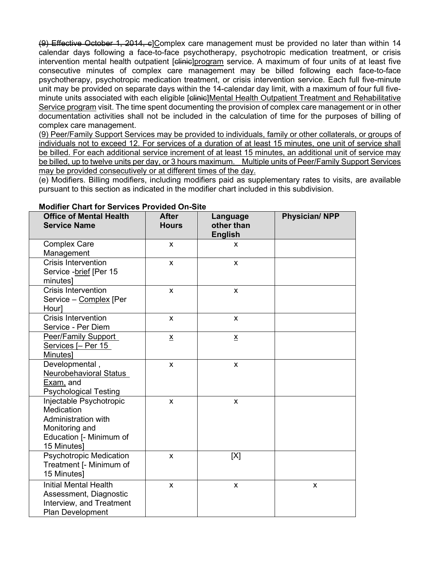(9) Effective October 1, 2014, c]Complex care management must be provided no later than within 14 calendar days following a face-to-face psychotherapy, psychotropic medication treatment, or crisis intervention mental health outpatient [elinie]program service. A maximum of four units of at least five consecutive minutes of complex care management may be billed following each face-to-face psychotherapy, psychotropic medication treatment, or crisis intervention service. Each full five-minute unit may be provided on separate days within the 14-calendar day limit, with a maximum of four full fiveminute units associated with each eligible [elinie]Mental Health Outpatient Treatment and Rehabilitative Service program visit. The time spent documenting the provision of complex care management or in other documentation activities shall not be included in the calculation of time for the purposes of billing of complex care management.

(9) Peer/Family Support Services may be provided to individuals, family or other collaterals, or groups of individuals not to exceed 12. For services of a duration of at least 15 minutes, one unit of service shall be billed. For each additional service increment of at least 15 minutes, an additional unit of service may be billed, up to twelve units per day, or 3 hours maximum. Multiple units of Peer/Family Support Services may be provided consecutively or at different times of the day.

(e) Modifiers. Billing modifiers, including modifiers paid as supplementary rates to visits, are available pursuant to this section as indicated in the modifier chart included in this subdivision.

| <b>Office of Mental Health</b><br><b>Service Name</b>                                                                    | <b>After</b><br><b>Hours</b> | Language<br>other than<br><b>English</b> | <b>Physician/ NPP</b> |
|--------------------------------------------------------------------------------------------------------------------------|------------------------------|------------------------------------------|-----------------------|
| <b>Complex Care</b><br>Management                                                                                        | X                            | X                                        |                       |
| <b>Crisis Intervention</b><br>Service - brief [Per 15<br>minutes]                                                        | $\mathsf{x}$                 | X                                        |                       |
| <b>Crisis Intervention</b><br>Service - Complex [Per<br>Hour]                                                            | X                            | $\mathsf{x}$                             |                       |
| <b>Crisis Intervention</b><br>Service - Per Diem                                                                         | X                            | $\mathsf{x}$                             |                       |
| <b>Peer/Family Support</b><br>Services [- Per 15<br>Minutes]                                                             | $\underline{x}$              | $\underline{\mathsf{X}}$                 |                       |
| Developmental,<br>Neurobehavioral Status<br>Exam, and<br><b>Psychological Testing</b>                                    | $\pmb{\mathsf{X}}$           | $\pmb{\times}$                           |                       |
| Injectable Psychotropic<br>Medication<br>Administration with<br>Monitoring and<br>Education [- Minimum of<br>15 Minutes] | X                            | $\pmb{\times}$                           |                       |
| <b>Psychotropic Medication</b><br>Treatment [- Minimum of<br>15 Minutes]                                                 | X                            | [X]                                      |                       |
| <b>Initial Mental Health</b><br>Assessment, Diagnostic<br>Interview, and Treatment<br><b>Plan Development</b>            | X                            | X                                        | X                     |

#### **Modifier Chart for Services Provided On-Site**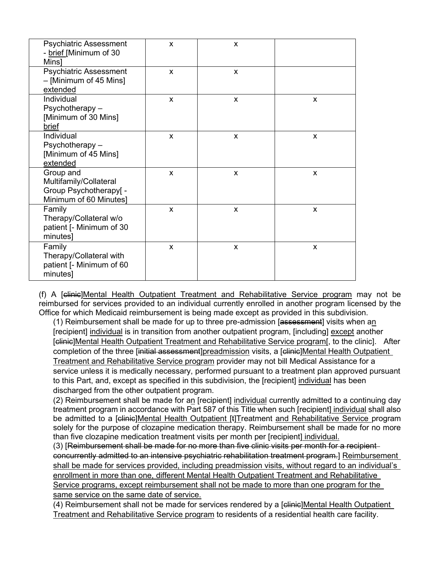| <b>Psychiatric Assessment</b><br>- brief [Minimum of 30<br>Mins]                        | X              | X            |              |
|-----------------------------------------------------------------------------------------|----------------|--------------|--------------|
| <b>Psychiatric Assessment</b><br>- [Minimum of 45 Mins]<br>extended                     | $\mathsf{x}$   | X            |              |
| Individual<br>Psychotherapy-<br>[Minimum of 30 Mins]<br>brief                           | X              | $\mathsf{x}$ | $\mathsf{x}$ |
| Individual<br>Psychotherapy-<br>[Minimum of 45 Mins]<br>extended                        | X              | X            | X            |
| Group and<br>Multifamily/Collateral<br>Group Psychotherapy[ -<br>Minimum of 60 Minutes] | X              | X            | X            |
| Family<br>Therapy/Collateral w/o<br>patient [- Minimum of 30<br>minutes]                | $\pmb{\times}$ | X            | X            |
| Family<br>Therapy/Collateral with<br>patient [- Minimum of 60<br>minutes]               | X              | X            | X            |

(f) A [clinic]Mental Health Outpatient Treatment and Rehabilitative Service program may not be reimbursed for services provided to an individual currently enrolled in another program licensed by the Office for which Medicaid reimbursement is being made except as provided in this subdivision.

(1) Reimbursement shall be made for up to three pre-admission [assessment] visits when an [recipient] individual is in transition from another outpatient program, [including] except another [clinic]Mental Health Outpatient Treatment and Rehabilitative Service program<sup>[</sup>, to the clinic]. After completion of the three [initial assessment]preadmission visits, a [elinie]Mental Health Outpatient Treatment and Rehabilitative Service program provider may not bill Medical Assistance for a service unless it is medically necessary, performed pursuant to a treatment plan approved pursuant to this Part, and, except as specified in this subdivision, the [recipient] individual has been discharged from the other outpatient program.

(2) Reimbursement shall be made for an [recipient] individual currently admitted to a continuing day treatment program in accordance with Part 587 of this Title when such [recipient] individual shall also be admitted to a [clinic]Mental Health Outpatient [t]Treatment and Rehabilitative Service program solely for the purpose of clozapine medication therapy. Reimbursement shall be made for no more than five clozapine medication treatment visits per month per [recipient] individual.

(3) [Reimbursement shall be made for no more than five clinic visits per month for a recipient concurrently admitted to an intensive psychiatric rehabilitation treatment program.] Reimbursement shall be made for services provided, including preadmission visits, without regard to an individual's enrollment in more than one, different Mental Health Outpatient Treatment and Rehabilitative Service programs, except reimbursement shall not be made to more than one program for the same service on the same date of service.

(4) Reimbursement shall not be made for services rendered by a [clinic]Mental Health Outpatient Treatment and Rehabilitative Service program to residents of a residential health care facility.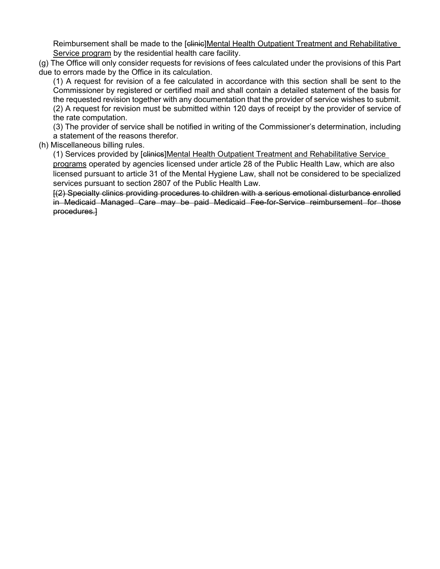Reimbursement shall be made to the [clinic]Mental Health Outpatient Treatment and Rehabilitative Service program by the residential health care facility.

(g) The Office will only consider requests for revisions of fees calculated under the provisions of this Part due to errors made by the Office in its calculation.

(1) A request for revision of a fee calculated in accordance with this section shall be sent to the Commissioner by registered or certified mail and shall contain a detailed statement of the basis for the requested revision together with any documentation that the provider of service wishes to submit. (2) A request for revision must be submitted within 120 days of receipt by the provider of service of the rate computation.

(3) The provider of service shall be notified in writing of the Commissioner's determination, including a statement of the reasons therefor.

(h) Miscellaneous billing rules.

(1) Services provided by [clinics]Mental Health Outpatient Treatment and Rehabilitative Service programs operated by agencies licensed under article 28 of the Public Health Law, which are also licensed pursuant to article 31 of the Mental Hygiene Law, shall not be considered to be specialized services pursuant to [section 2807 of the Public Health Law.](http://www.westlaw.com/Link/Document/FullText?findType=L&pubNum=1000121&cite=NYPHS2807&originatingDoc=I6E4FE150D8B011E490D9D236A5717956&refType=LQ&originationContext=document&vr=3.0&rs=cblt1.0&transitionType=DocumentItem&contextData=(sc.Default))

[(2) Specialty clinics providing procedures to children with a serious emotional disturbance enrolled in Medicaid Managed Care may be paid Medicaid Fee-for-Service reimbursement for those procedures.]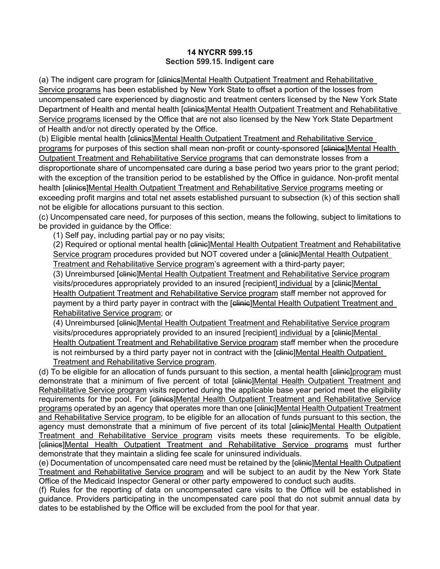## **14 NYCRR 599.15 Section 599.15. Indigent care**

(a) The indigent care program for [clinics]Mental Health Outpatient Treatment and Rehabilitative Service programs has been established by New York State to offset a portion of the losses from uncompensated care experienced by diagnostic and treatment centers licensed by the New York State Department of Health and mental health [clinics]Mental Health Outpatient Treatment and Rehabilitative Service programs licensed by the Office that are not also licensed by the New York State Department of Health and/or not directly operated by the Office.

(b) Eligible mental health [clinics]Mental Health Outpatient Treatment and Rehabilitative Service programs for purposes of this section shall mean non-profit or county-sponsored [elinies]Mental Health Outpatient Treatment and Rehabilitative Service programs that can demonstrate losses from a

disproportionate share of uncompensated care during a base period two years prior to the grant period; with the exception of the transition period to be established by the Office in quidance. Non-profit mental health [elinies]Mental Health Outpatient Treatment and Rehabilitative Service programs meeting or exceeding profit margins and total net assets established pursuant to subsection (k) of this section shall not be eligible for allocations pursuant to this section.

(c) Uncompensated care need, for purposes of this section, means the following, subject to limitations to be provided in guidance by the Office:

(1) Self pay, including partial pay or no pay visits;

(2) Required or optional mental health [clinic]Mental Health Outpatient Treatment and Rehabilitative Service program procedures provided but NOT covered under a [clinic]Mental Health Outpatient Treatment and Rehabilitative Service program's agreement with a third-party payer;

(3) Unreimbursed [clinic]Mental Health Outpatient Treatment and Rehabilitative Service program visits/procedures appropriately provided to an insured [recipient] individual by a [clinic]Mental Health Outpatient Treatment and Rehabilitative Service program staff member not approved for payment by a third party payer in contract with the [clinic]Mental Health Outpatient Treatment and Rehabilitative Service program; or

(4) Unreimbursed [clinic]Mental Health Outpatient Treatment and Rehabilitative Service program visits/procedures appropriately provided to an insured [recipient] individual by a [clinic]Mental Health Outpatient Treatment and Rehabilitative Service program staff member when the procedure is not reimbursed by a third party payer not in contract with the [elinie]Mental Health Outpatient Treatment and Rehabilitative Service program.

(d) To be eligible for an allocation of funds pursuant to this section, a mental health [clinic]program must demonstrate that a minimum of five percent of total [elinie]Mental Health Outpatient Treatment and Rehabilitative Service program visits reported during the applicable base year period meet the eligibility requirements for the pool. For [clinics]Mental Health Outpatient Treatment and Rehabilitative Service programs operated by an agency that operates more than one [clinic]Mental Health Outpatient Treatment and Rehabilitative Service program, to be eligible for an allocation of funds pursuant to this section, the agency must demonstrate that a minimum of five percent of its total [clinic]Mental Health Outpatient Treatment and Rehabilitative Service program visits meets these requirements. To be eligible, [clinics]Mental Health Outpatient Treatment and Rehabilitative Service programs must further demonstrate that they maintain a sliding fee scale for uninsured individuals.

(e) Documentation of uncompensated care need must be retained by the [clinic]Mental Health Outpatient Treatment and Rehabilitative Service program and will be subject to an audit by the New York State Office of the Medicaid Inspector General or other party empowered to conduct such audits.

(f) Rules for the reporting of data on uncompensated care visits to the Office will be established in guidance. Providers participating in the uncompensated care pool that do not submit annual data by dates to be established by the Office will be excluded from the pool for that year.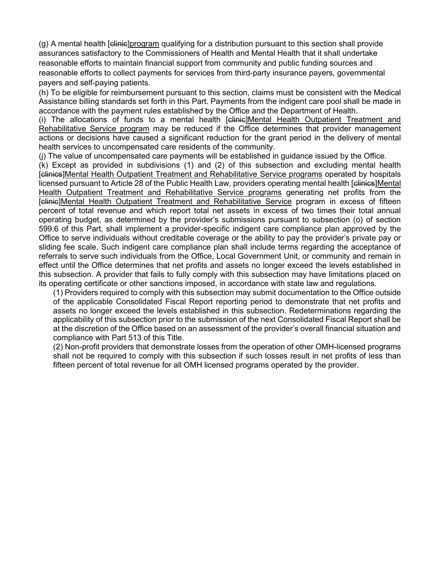(g) A mental health [clinic]program qualifying for a distribution pursuant to this section shall provide assurances satisfactory to the Commissioners of Health and Mental Health that it shall undertake reasonable efforts to maintain financial support from community and public funding sources and reasonable efforts to collect payments for services from third-party insurance payers, governmental payers and self-paying patients.

(h) To be eligible for reimbursement pursuant to this section, claims must be consistent with the Medical Assistance billing standards set forth in this Part. Payments from the indigent care pool shall be made in accordance with the payment rules established by the Office and the Department of Health.

(i) The allocations of funds to a mental health [clinic]Mental Health Outpatient Treatment and Rehabilitative Service program may be reduced if the Office determines that provider management actions or decisions have caused a significant reduction for the grant period in the delivery of mental health services to uncompensated care residents of the community.

(j) The value of uncompensated care payments will be established in guidance issued by the Office.

(k) Except as provided in subdivisions (1) and (2) of this subsection and excluding mental health [clinics]Mental Health Outpatient Treatment and Rehabilitative Service programs operated by hospitals licensed pursuant to Article 28 of the Public Health Law, providers operating mental health [clinics]Mental Health Outpatient Treatment and Rehabilitative Service programs generating net profits from the [clinic]Mental Health Outpatient Treatment and Rehabilitative Service program in excess of fifteen percent of total revenue and which report total net assets in excess of two times their total annual operating budget, as determined by the provider's submissions pursuant to subsection (o) of section 599.6 of this Part, shall implement a provider-specific indigent care compliance plan approved by the Office to serve individuals without creditable coverage or the ability to pay the provider's private pay or sliding fee scale, Such indigent care compliance plan shall include terms regarding the acceptance of referrals to serve such individuals from the Office, Local Government Unit, or community and remain in effect until the Office determines that net profits and assets no longer exceed the levels established in this subsection. A provider that fails to fully comply with this subsection may have limitations placed on its operating certificate or other sanctions imposed, in accordance with state law and regulations.

(1) Providers required to comply with this subsection may submit documentation to the Office outside of the applicable Consolidated Fiscal Report reporting period to demonstrate that net profits and assets no longer exceed the levels established in this subsection. Redeterminations regarding the applicability of this subsection prior to the submission of the next Consolidated Fiscal Report shall be at the discretion of the Office based on an assessment of the provider's overall financial situation and compliance with Part 513 of this Title.

(2) Non-profit providers that demonstrate losses from the operation of other OMH-licensed programs shall not be required to comply with this subsection if such losses result in net profits of less than fifteen percent of total revenue for all OMH licensed programs operated by the provider.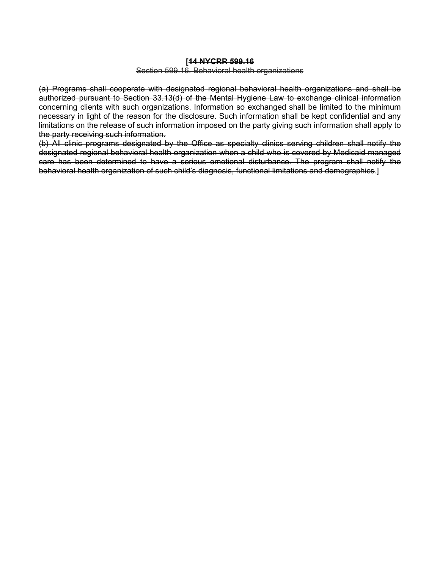#### **[14 NYCRR 599.16**

Section 599.16. Behavioral health organizations

(a) Programs shall cooperate with designated regional behavioral health organizations and shall be authorized pursuant to [Section 33.13\(d\) of the Mental Hygiene Law](http://www.westlaw.com/Link/Document/FullText?findType=L&pubNum=1000105&cite=NYMHS33.13&originatingDoc=I432605406D9711E19D9DB00925279233&refType=SP&originationContext=document&vr=3.0&rs=cblt1.0&transitionType=DocumentItem&contextData=(sc.Default)#co_pp_5ba1000067d06) to exchange clinical information concerning clients with such organizations. Information so exchanged shall be limited to the minimum necessary in light of the reason for the disclosure. Such information shall be kept confidential and any limitations on the release of such information imposed on the party giving such information shall apply to the party receiving such information.

(b) All clinic programs designated by the Office as specialty clinics serving children shall notify the designated regional behavioral health organization when a child who is covered by Medicaid managed care has been determined to have a serious emotional disturbance. The program shall notify the behavioral health organization of such child's diagnosis, functional limitations and demographics.]